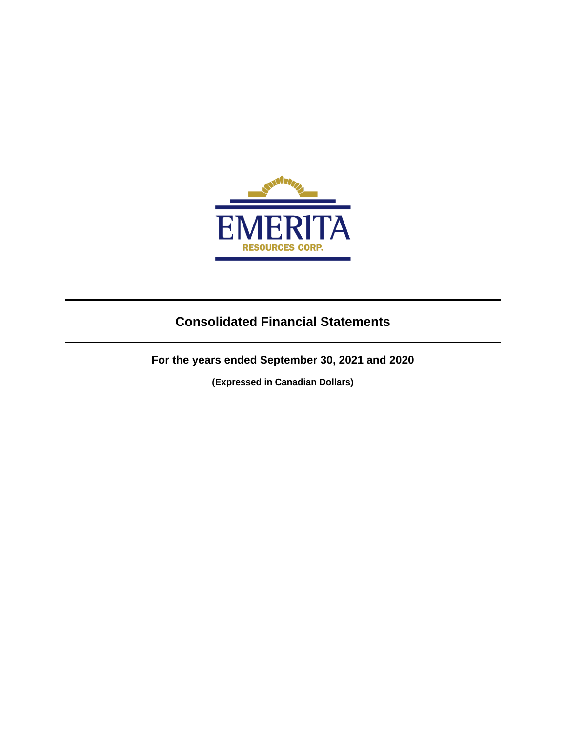

## **Consolidated Financial Statements**

**For the years ended September 30, 2021 and 2020**

**(Expressed in Canadian Dollars)**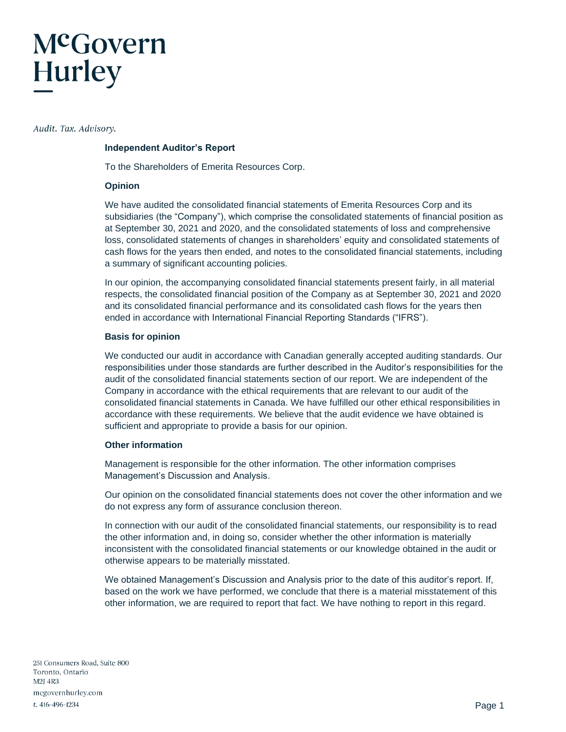## McGovern **Hurley**

Audit. Tax. Advisory.

## **Independent Auditor's Report**

To the Shareholders of Emerita Resources Corp.

## **Opinion**

We have audited the consolidated financial statements of Emerita Resources Corp and its subsidiaries (the "Company"), which comprise the consolidated statements of financial position as at September 30, 2021 and 2020, and the consolidated statements of loss and comprehensive loss, consolidated statements of changes in shareholders' equity and consolidated statements of cash flows for the years then ended, and notes to the consolidated financial statements, including a summary of significant accounting policies.

In our opinion, the accompanying consolidated financial statements present fairly, in all material respects, the consolidated financial position of the Company as at September 30, 2021 and 2020 and its consolidated financial performance and its consolidated cash flows for the years then ended in accordance with International Financial Reporting Standards ("IFRS").

## **Basis for opinion**

We conducted our audit in accordance with Canadian generally accepted auditing standards. Our responsibilities under those standards are further described in the Auditor's responsibilities for the audit of the consolidated financial statements section of our report. We are independent of the Company in accordance with the ethical requirements that are relevant to our audit of the consolidated financial statements in Canada. We have fulfilled our other ethical responsibilities in accordance with these requirements. We believe that the audit evidence we have obtained is sufficient and appropriate to provide a basis for our opinion.

## **Other information**

Management is responsible for the other information. The other information comprises Management's Discussion and Analysis.

Our opinion on the consolidated financial statements does not cover the other information and we do not express any form of assurance conclusion thereon.

In connection with our audit of the consolidated financial statements, our responsibility is to read the other information and, in doing so, consider whether the other information is materially inconsistent with the consolidated financial statements or our knowledge obtained in the audit or otherwise appears to be materially misstated.

We obtained Management's Discussion and Analysis prior to the date of this auditor's report. If, based on the work we have performed, we conclude that there is a material misstatement of this other information, we are required to report that fact. We have nothing to report in this regard.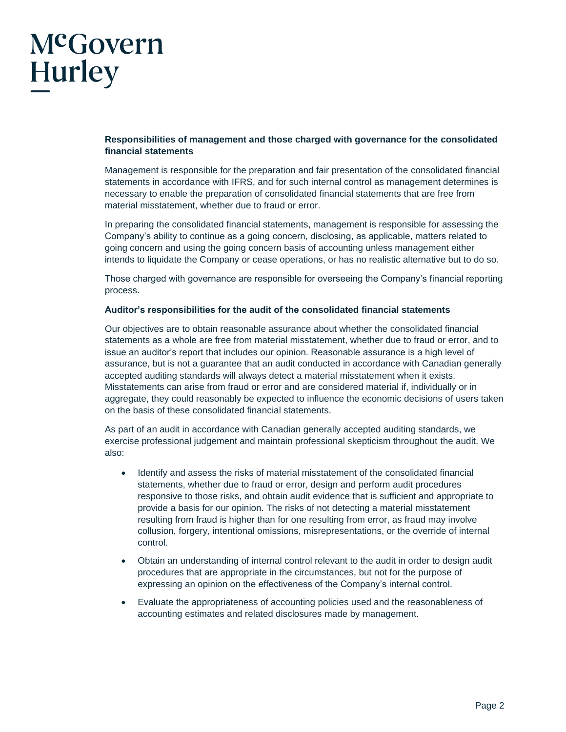# M<sup>c</sup>Govern Hurley

## **Responsibilities of management and those charged with governance for the consolidated financial statements**

Management is responsible for the preparation and fair presentation of the consolidated financial statements in accordance with IFRS, and for such internal control as management determines is necessary to enable the preparation of consolidated financial statements that are free from material misstatement, whether due to fraud or error.

In preparing the consolidated financial statements, management is responsible for assessing the Company's ability to continue as a going concern, disclosing, as applicable, matters related to going concern and using the going concern basis of accounting unless management either intends to liquidate the Company or cease operations, or has no realistic alternative but to do so.

Those charged with governance are responsible for overseeing the Company's financial reporting process.

## **Auditor's responsibilities for the audit of the consolidated financial statements**

Our objectives are to obtain reasonable assurance about whether the consolidated financial statements as a whole are free from material misstatement, whether due to fraud or error, and to issue an auditor's report that includes our opinion. Reasonable assurance is a high level of assurance, but is not a guarantee that an audit conducted in accordance with Canadian generally accepted auditing standards will always detect a material misstatement when it exists. Misstatements can arise from fraud or error and are considered material if, individually or in aggregate, they could reasonably be expected to influence the economic decisions of users taken on the basis of these consolidated financial statements.

As part of an audit in accordance with Canadian generally accepted auditing standards, we exercise professional judgement and maintain professional skepticism throughout the audit. We also:

- Identify and assess the risks of material misstatement of the consolidated financial statements, whether due to fraud or error, design and perform audit procedures responsive to those risks, and obtain audit evidence that is sufficient and appropriate to provide a basis for our opinion. The risks of not detecting a material misstatement resulting from fraud is higher than for one resulting from error, as fraud may involve collusion, forgery, intentional omissions, misrepresentations, or the override of internal control.
- Obtain an understanding of internal control relevant to the audit in order to design audit procedures that are appropriate in the circumstances, but not for the purpose of expressing an opinion on the effectiveness of the Company's internal control.
- Evaluate the appropriateness of accounting policies used and the reasonableness of accounting estimates and related disclosures made by management.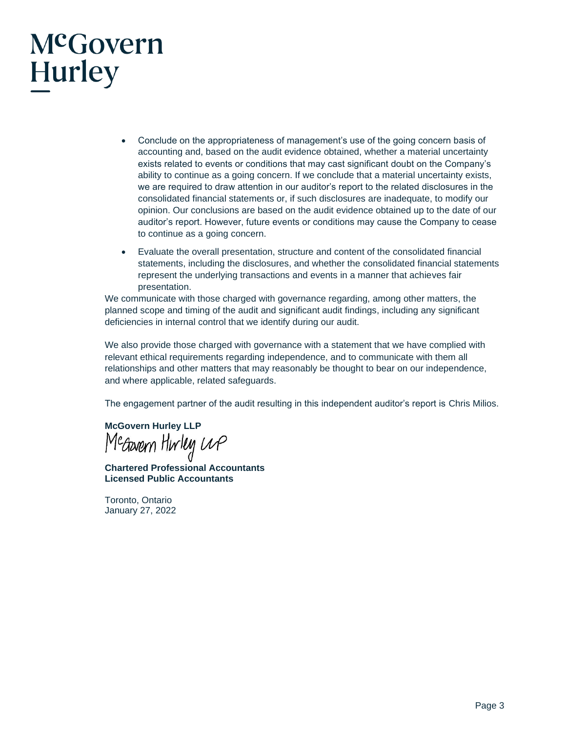## McGovern **Hurley**

- Conclude on the appropriateness of management's use of the going concern basis of accounting and, based on the audit evidence obtained, whether a material uncertainty exists related to events or conditions that may cast significant doubt on the Company's ability to continue as a going concern. If we conclude that a material uncertainty exists, we are required to draw attention in our auditor's report to the related disclosures in the consolidated financial statements or, if such disclosures are inadequate, to modify our opinion. Our conclusions are based on the audit evidence obtained up to the date of our auditor's report. However, future events or conditions may cause the Company to cease to continue as a going concern.
- Evaluate the overall presentation, structure and content of the consolidated financial statements, including the disclosures, and whether the consolidated financial statements represent the underlying transactions and events in a manner that achieves fair presentation.

We communicate with those charged with governance regarding, among other matters, the planned scope and timing of the audit and significant audit findings, including any significant deficiencies in internal control that we identify during our audit.

We also provide those charged with governance with a statement that we have complied with relevant ethical requirements regarding independence, and to communicate with them all relationships and other matters that may reasonably be thought to bear on our independence, and where applicable, related safeguards.

The engagement partner of the audit resulting in this independent auditor's report is Chris Milios.

**McGovern Hurley LLP** Mcawem Hurley UP

**Chartered Professional Accountants Licensed Public Accountants**

Toronto, Ontario January 27, 2022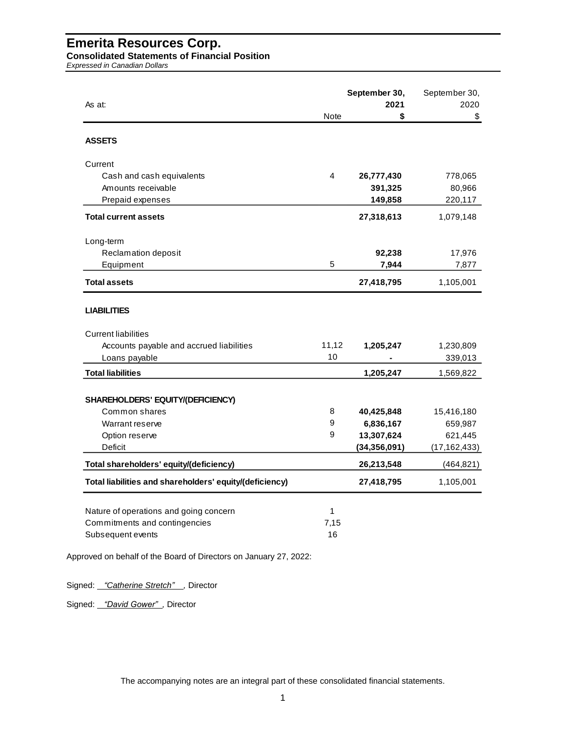## **Consolidated Statements of Financial Position**

*Expressed in Canadian Dollars*

| As at:                                                                                  | Note        | September 30,<br>2021<br>\$ | September 30,<br>2020<br>\$                                                                                        |
|-----------------------------------------------------------------------------------------|-------------|-----------------------------|--------------------------------------------------------------------------------------------------------------------|
| <b>ASSETS</b>                                                                           |             |                             |                                                                                                                    |
| Current                                                                                 |             |                             |                                                                                                                    |
| Cash and cash equivalents                                                               | 4           | 26,777,430                  | 778,065                                                                                                            |
| Amounts receivable                                                                      |             | 391,325                     | 80,966                                                                                                             |
| Prepaid expenses                                                                        |             | 149,858                     | 220,117                                                                                                            |
| <b>Total current assets</b>                                                             |             | 27,318,613                  | 1,079,148                                                                                                          |
| Long-term                                                                               |             |                             |                                                                                                                    |
| Reclamation deposit                                                                     |             | 92,238                      | 17,976                                                                                                             |
| Equipment                                                                               | 5           | 7,944                       | 7,877                                                                                                              |
| <b>Total assets</b>                                                                     |             | 27,418,795                  | 1,105,001                                                                                                          |
| <b>LIABILITIES</b>                                                                      |             |                             |                                                                                                                    |
| <b>Current liabilities</b><br>Accounts payable and accrued liabilities<br>Loans payable | 11,12<br>10 | 1,205,247                   |                                                                                                                    |
| <b>Total liabilities</b>                                                                |             | 1,205,247                   |                                                                                                                    |
|                                                                                         |             |                             |                                                                                                                    |
| SHAREHOLDERS' EQUITY/(DEFICIENCY)<br>Common shares                                      | 8           |                             |                                                                                                                    |
| Warrant reserve                                                                         | 9           | 40,425,848<br>6,836,167     |                                                                                                                    |
| Option reserve                                                                          | 9           | 13,307,624                  |                                                                                                                    |
| Deficit                                                                                 |             | (34, 356, 091)              |                                                                                                                    |
| Total shareholders' equity/(deficiency)                                                 |             | 26,213,548                  |                                                                                                                    |
| Total liabilities and shareholders' equity/(deficiency)                                 |             | 27,418,795                  |                                                                                                                    |
|                                                                                         | 1           |                             |                                                                                                                    |
| Nature of operations and going concern<br>Commitments and contingencies                 | 7,15        |                             | 1,230,809<br>339,013<br>1,569,822<br>15,416,180<br>659,987<br>621,445<br>(17, 162, 433)<br>(464, 821)<br>1,105,001 |

Signed: *"Catherine Stretch" ,* Director

Signed: *"David Gower" ,* Director

The accompanying notes are an integral part of these consolidated financial statements.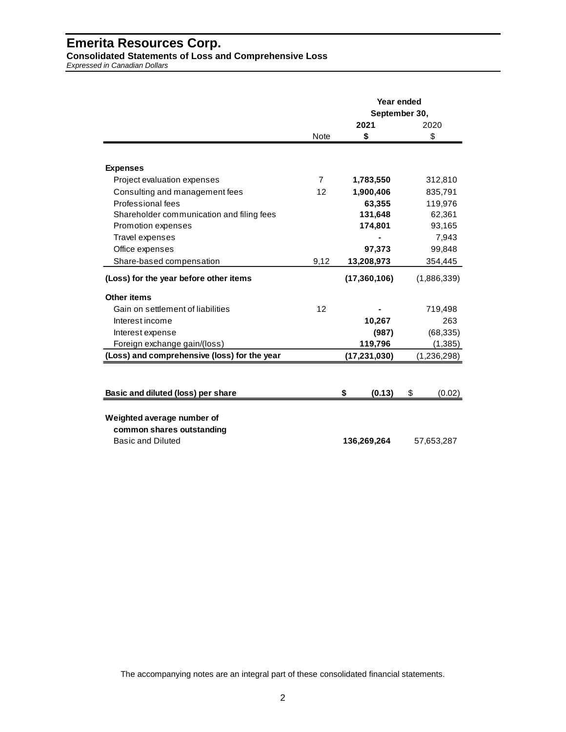**Consolidated Statements of Loss and Comprehensive Loss**

*Expressed in Canadian Dollars*

|                                                                                         |                | Year ended     |              |
|-----------------------------------------------------------------------------------------|----------------|----------------|--------------|
|                                                                                         |                | September 30,  |              |
|                                                                                         |                | 2021           | 2020         |
|                                                                                         | Note           | \$             | \$           |
|                                                                                         |                |                |              |
| <b>Expenses</b>                                                                         |                |                |              |
| Project evaluation expenses                                                             | $\overline{7}$ | 1,783,550      | 312,810      |
| Consulting and management fees                                                          | 12             | 1,900,406      | 835,791      |
| Professional fees                                                                       |                | 63,355         | 119,976      |
| Shareholder communication and filing fees                                               |                | 131,648        | 62,361       |
| Promotion expenses                                                                      |                | 174,801        | 93,165       |
| Travel expenses                                                                         |                |                | 7,943        |
| Office expenses                                                                         |                | 97,373         | 99,848       |
| Share-based compensation                                                                | 9,12           | 13,208,973     | 354,445      |
|                                                                                         |                |                |              |
| (Loss) for the year before other items                                                  |                | (17, 360, 106) | (1,886,339)  |
| <b>Other items</b>                                                                      |                |                |              |
| Gain on settlement of liabilities                                                       | 12             |                | 719,498      |
| Interest income                                                                         |                | 10,267         | 263          |
| Interest expense                                                                        |                | (987)          | (68, 335)    |
| Foreign exchange gain/(loss)                                                            |                | 119,796        | (1, 385)     |
| (Loss) and comprehensive (loss) for the year                                            |                | (17, 231, 030) | (1,236,298)  |
|                                                                                         |                |                |              |
|                                                                                         |                |                |              |
| Basic and diluted (loss) per share                                                      |                | \$<br>(0.13)   | \$<br>(0.02) |
|                                                                                         |                |                |              |
| Weighted average number of                                                              |                |                |              |
| common shares outstanding                                                               |                |                |              |
| <b>Basic and Diluted</b>                                                                |                | 136,269,264    | 57,653,287   |
|                                                                                         |                |                |              |
|                                                                                         |                |                |              |
|                                                                                         |                |                |              |
|                                                                                         |                |                |              |
|                                                                                         |                |                |              |
|                                                                                         |                |                |              |
|                                                                                         |                |                |              |
|                                                                                         |                |                |              |
|                                                                                         |                |                |              |
|                                                                                         |                |                |              |
|                                                                                         |                |                |              |
|                                                                                         |                |                |              |
|                                                                                         |                |                |              |
|                                                                                         |                |                |              |
|                                                                                         |                |                |              |
|                                                                                         |                |                |              |
|                                                                                         |                |                |              |
|                                                                                         |                |                |              |
| The accompanying notes are an integral part of these consolidated financial statements. |                |                |              |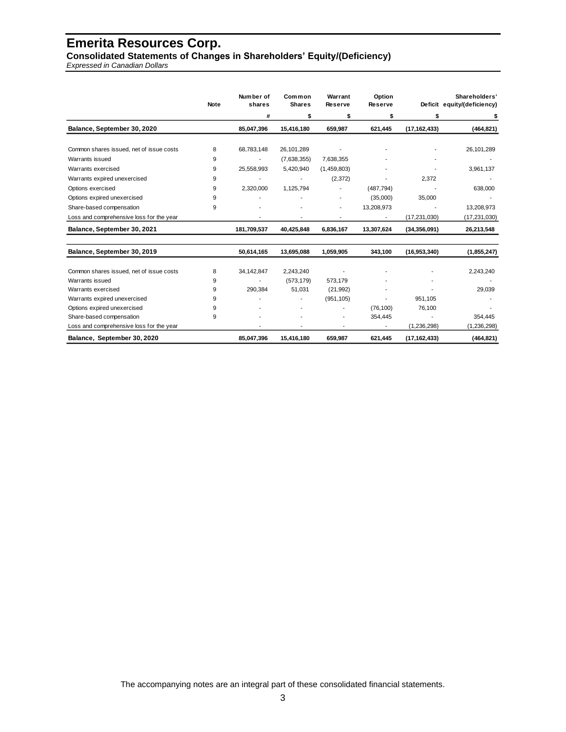**Consolidated Statements of Changes in Shareholders' Equity/(Deficiency)**

*Expressed in Canadian Dollars*

|                                                             | <b>Note</b> | Number of<br>shares | Common<br><b>Shares</b> | Warrant<br><b>Reserve</b> | Option<br><b>Reserve</b> |                | Shareholders'<br>Deficit equity/(deficiency) |
|-------------------------------------------------------------|-------------|---------------------|-------------------------|---------------------------|--------------------------|----------------|----------------------------------------------|
|                                                             |             | #                   | \$                      | \$                        | \$                       | \$             | \$                                           |
| Balance, September 30, 2020                                 |             | 85,047,396          | 15,416,180              | 659,987                   | 621,445                  | (17, 162, 433) | (464, 821)                                   |
|                                                             | 8           |                     |                         |                           |                          |                |                                              |
| Common shares issued, net of issue costs<br>Warrants issued |             | 68,783,148          | 26,101,289              |                           |                          |                | 26,101,289                                   |
|                                                             | 9           |                     | (7,638,355)             | 7,638,355                 |                          |                |                                              |
| Warrants exercised                                          | 9           | 25,558,993          | 5,420,940               | (1,459,803)               |                          |                | 3,961,137                                    |
| Warrants expired unexercised                                | 9           | Ĭ.                  |                         | (2, 372)                  |                          | 2,372          |                                              |
| Options exercised                                           | 9           | 2,320,000           | 1,125,794               |                           | (487, 794)               |                | 638,000                                      |
| Options expired unexercised                                 | 9           |                     |                         |                           | (35,000)                 | 35,000         |                                              |
| Share-based compensation                                    | 9           |                     |                         | ۰                         | 13,208,973               |                | 13,208,973                                   |
| Loss and comprehensive loss for the year                    |             |                     |                         |                           |                          | (17, 231, 030) | (17, 231, 030)                               |
| Balance, September 30, 2021                                 |             | 181,709,537         | 40,425,848              | 6,836,167                 | 13,307,624               | (34, 356, 091) | 26,213,548                                   |
| Balance, September 30, 2019                                 |             | 50,614,165          | 13,695,088              | 1,059,905                 | 343,100                  | (16,953,340)   | (1,855,247)                                  |
| Common shares issued, net of issue costs                    | 8           | 34,142,847          | 2,243,240               |                           |                          |                | 2,243,240                                    |
| Warrants issued                                             | 9           | ٠                   | (573, 179)              | 573,179                   |                          |                |                                              |
| Warrants exercised                                          | 9           | 290,384             | 51,031                  | (21, 992)                 |                          |                | 29,039                                       |
| Warrants expired unexercised                                | 9           |                     |                         | (951, 105)                |                          | 951,105        |                                              |
| Options expired unexercised                                 | 9           |                     |                         |                           | (76, 100)                | 76,100         |                                              |
| Share-based compensation                                    | 9           |                     |                         |                           | 354,445                  |                | 354,445                                      |
| Loss and comprehensive loss for the year                    |             |                     |                         |                           |                          | (1,236,298)    | (1,236,298)                                  |
| Balance, September 30, 2020                                 |             | 85,047,396          | 15,416,180              | 659,987                   | 621,445                  | (17, 162, 433) | (464, 821)                                   |

The accompanying notes are an integral part of these consolidated financial statements.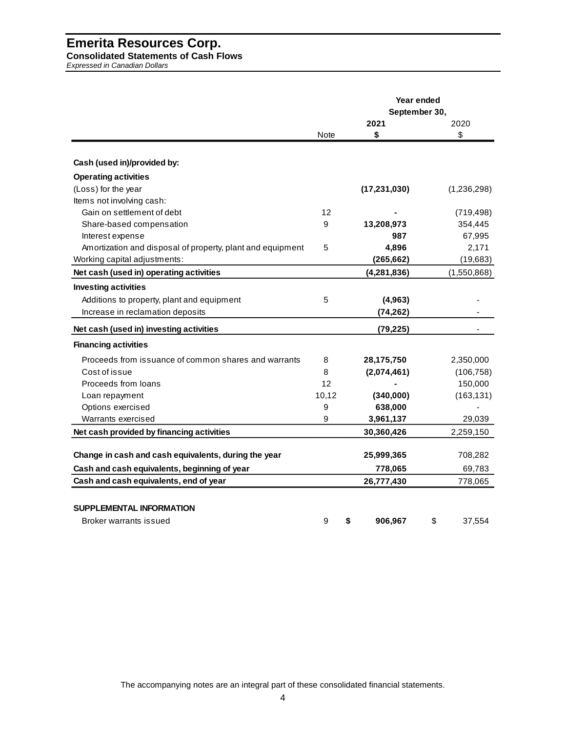**Consolidated Statements of Cash Flows**

*Expressed in Canadian Dollars*

|                                                            |                   | Year ended<br>September 30, |                |
|------------------------------------------------------------|-------------------|-----------------------------|----------------|
|                                                            |                   | 2021                        | 2020           |
|                                                            | Note              | \$                          | \$             |
|                                                            |                   |                             |                |
| Cash (used in)/provided by:                                |                   |                             |                |
| <b>Operating activities</b>                                |                   |                             |                |
| (Loss) for the year                                        |                   | (17, 231, 030)              | (1,236,298)    |
| Items not involving cash:                                  |                   |                             |                |
| Gain on settlement of debt                                 | $12 \overline{ }$ |                             | (719, 498)     |
| Share-based compensation                                   | 9                 | 13,208,973                  | 354,445        |
| Interest expense                                           |                   | 987                         | 67,995         |
| Amortization and disposal of property, plant and equipment | 5                 | 4,896                       | 2,171          |
| Working capital adjustments:                               |                   | (265, 662)                  | (19,683)       |
| Net cash (used in) operating activities                    |                   | (4, 281, 836)               | (1,550,868)    |
| <b>Investing activities</b>                                |                   |                             |                |
| Additions to property, plant and equipment                 | 5                 | (4, 963)                    |                |
| Increase in reclamation deposits                           |                   | (74, 262)                   |                |
| Net cash (used in) investing activities                    |                   | (79, 225)                   | $\blacksquare$ |
| <b>Financing activities</b>                                |                   |                             |                |
| Proceeds from issuance of common shares and warrants       | 8                 | 28,175,750                  | 2,350,000      |
| Cost of issue                                              | 8                 | (2,074,461)                 | (106, 758)     |
| Proceeds from loans                                        | 12                |                             | 150,000        |
| Loan repayment                                             | 10,12             | (340,000)                   | (163, 131)     |
| Options exercised                                          | 9                 | 638,000                     |                |
| Warrants exercised                                         | 9                 | 3,961,137                   | 29,039         |
| Net cash provided by financing activities                  |                   | 30,360,426                  | 2,259,150      |
| Change in cash and cash equivalents, during the year       |                   | 25,999,365                  | 708,282        |
| Cash and cash equivalents, beginning of year               |                   | 778,065                     | 69,783         |
| Cash and cash equivalents, end of year                     |                   | 26,777,430                  | 778,065        |
|                                                            |                   |                             |                |
| <b>SUPPLEMENTAL INFORMATION</b>                            |                   |                             |                |
| Broker warrants issued                                     | 9                 | \$<br>906,967               | \$<br>37,554   |

The accompanying notes are an integral part of these consolidated financial statements.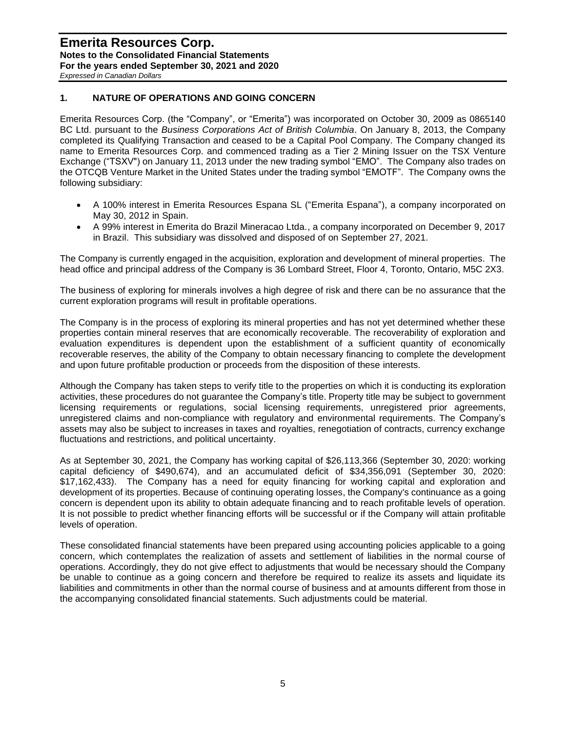## **1. NATURE OF OPERATIONS AND GOING CONCERN**

Emerita Resources Corp. (the "Company", or "Emerita") was incorporated on October 30, 2009 as 0865140 BC Ltd. pursuant to the *Business Corporations Act of British Columbia*. On January 8, 2013, the Company completed its Qualifying Transaction and ceased to be a Capital Pool Company. The Company changed its name to Emerita Resources Corp. and commenced trading as a Tier 2 Mining Issuer on the TSX Venture Exchange ("TSXV") on January 11, 2013 under the new trading symbol "EMO". The Company also trades on the OTCQB Venture Market in the United States under the trading symbol "EMOTF". The Company owns the following subsidiary:

- A 100% interest in Emerita Resources Espana SL ("Emerita Espana"), a company incorporated on May 30, 2012 in Spain.
- A 99% interest in Emerita do Brazil Mineracao Ltda., a company incorporated on December 9, 2017 in Brazil. This subsidiary was dissolved and disposed of on September 27, 2021.

The Company is currently engaged in the acquisition, exploration and development of mineral properties. The head office and principal address of the Company is 36 Lombard Street, Floor 4, Toronto, Ontario, M5C 2X3.

The business of exploring for minerals involves a high degree of risk and there can be no assurance that the current exploration programs will result in profitable operations.

The Company is in the process of exploring its mineral properties and has not yet determined whether these properties contain mineral reserves that are economically recoverable. The recoverability of exploration and evaluation expenditures is dependent upon the establishment of a sufficient quantity of economically recoverable reserves, the ability of the Company to obtain necessary financing to complete the development and upon future profitable production or proceeds from the disposition of these interests.

Although the Company has taken steps to verify title to the properties on which it is conducting its exploration activities, these procedures do not guarantee the Company's title. Property title may be subject to government licensing requirements or regulations, social licensing requirements, unregistered prior agreements, unregistered claims and non-compliance with regulatory and environmental requirements. The Company's assets may also be subject to increases in taxes and royalties, renegotiation of contracts, currency exchange fluctuations and restrictions, and political uncertainty.

As at September 30, 2021, the Company has working capital of \$26,113,366 (September 30, 2020: working capital deficiency of \$490,674), and an accumulated deficit of \$34,356,091 (September 30, 2020: \$17,162,433). The Company has a need for equity financing for working capital and exploration and development of its properties. Because of continuing operating losses, the Company's continuance as a going concern is dependent upon its ability to obtain adequate financing and to reach profitable levels of operation. It is not possible to predict whether financing efforts will be successful or if the Company will attain profitable levels of operation.

These consolidated financial statements have been prepared using accounting policies applicable to a going concern, which contemplates the realization of assets and settlement of liabilities in the normal course of operations. Accordingly, they do not give effect to adjustments that would be necessary should the Company be unable to continue as a going concern and therefore be required to realize its assets and liquidate its liabilities and commitments in other than the normal course of business and at amounts different from those in the accompanying consolidated financial statements. Such adjustments could be material.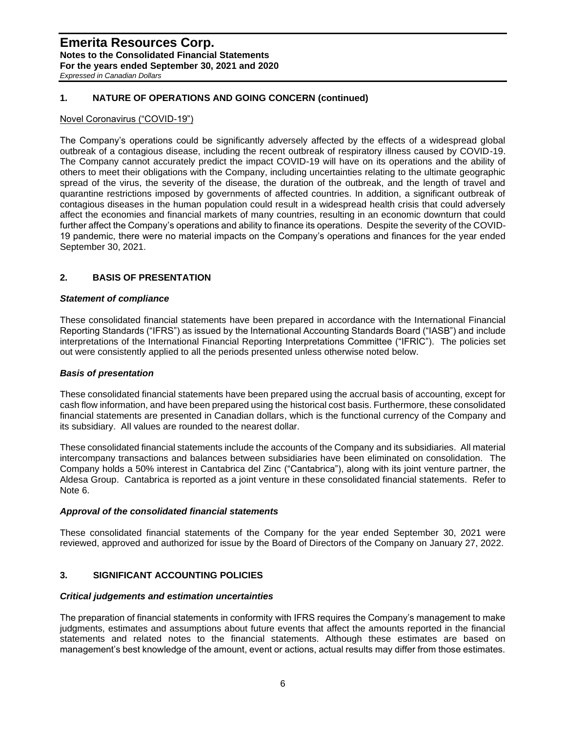## **1. NATURE OF OPERATIONS AND GOING CONCERN (continued)**

## Novel Coronavirus ("COVID-19")

The Company's operations could be significantly adversely affected by the effects of a widespread global outbreak of a contagious disease, including the recent outbreak of respiratory illness caused by COVID-19. The Company cannot accurately predict the impact COVID-19 will have on its operations and the ability of others to meet their obligations with the Company, including uncertainties relating to the ultimate geographic spread of the virus, the severity of the disease, the duration of the outbreak, and the length of travel and quarantine restrictions imposed by governments of affected countries. In addition, a significant outbreak of contagious diseases in the human population could result in a widespread health crisis that could adversely affect the economies and financial markets of many countries, resulting in an economic downturn that could further affect the Company's operations and ability to finance its operations. Despite the severity of the COVID-19 pandemic, there were no material impacts on the Company's operations and finances for the year ended September 30, 2021.

## **2. BASIS OF PRESENTATION**

## *Statement of compliance*

These consolidated financial statements have been prepared in accordance with the International Financial Reporting Standards ("IFRS") as issued by the International Accounting Standards Board ("IASB") and include interpretations of the International Financial Reporting Interpretations Committee ("IFRIC"). The policies set out were consistently applied to all the periods presented unless otherwise noted below.

## *Basis of presentation*

These consolidated financial statements have been prepared using the accrual basis of accounting, except for cash flow information, and have been prepared using the historical cost basis. Furthermore, these consolidated financial statements are presented in Canadian dollars, which is the functional currency of the Company and its subsidiary. All values are rounded to the nearest dollar.

These consolidated financial statements include the accounts of the Company and its subsidiaries. All material intercompany transactions and balances between subsidiaries have been eliminated on consolidation. The Company holds a 50% interest in Cantabrica del Zinc ("Cantabrica"), along with its joint venture partner, the Aldesa Group. Cantabrica is reported as a joint venture in these consolidated financial statements. Refer to Note 6.

## *Approval of the consolidated financial statements*

These consolidated financial statements of the Company for the year ended September 30, 2021 were reviewed, approved and authorized for issue by the Board of Directors of the Company on January 27, 2022.

## **3. SIGNIFICANT ACCOUNTING POLICIES**

## *Critical judgements and estimation uncertainties*

The preparation of financial statements in conformity with IFRS requires the Company's management to make judgments, estimates and assumptions about future events that affect the amounts reported in the financial statements and related notes to the financial statements. Although these estimates are based on management's best knowledge of the amount, event or actions, actual results may differ from those estimates.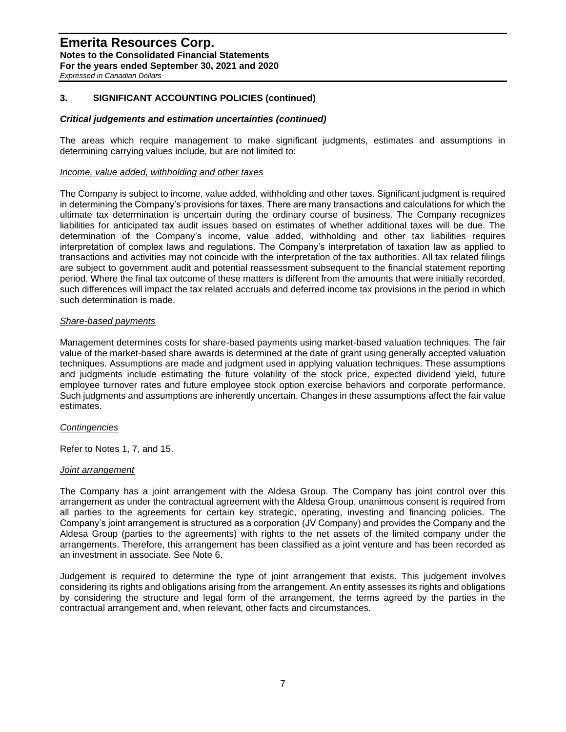## **3. SIGNIFICANT ACCOUNTING POLICIES (continued)**

## *Critical judgements and estimation uncertainties (continued)*

The areas which require management to make significant judgments, estimates and assumptions in determining carrying values include, but are not limited to:

## *Income, value added, withholding and other taxes*

The Company is subject to income, value added, withholding and other taxes. Significant judgment is required in determining the Company's provisions for taxes. There are many transactions and calculations for which the ultimate tax determination is uncertain during the ordinary course of business. The Company recognizes liabilities for anticipated tax audit issues based on estimates of whether additional taxes will be due. The determination of the Company's income, value added, withholding and other tax liabilities requires interpretation of complex laws and regulations. The Company's interpretation of taxation law as applied to transactions and activities may not coincide with the interpretation of the tax authorities. All tax related filings are subject to government audit and potential reassessment subsequent to the financial statement reporting period. Where the final tax outcome of these matters is different from the amounts that were initially recorded, such differences will impact the tax related accruals and deferred income tax provisions in the period in which such determination is made.

#### *Share-based payments*

Management determines costs for share-based payments using market-based valuation techniques. The fair value of the market-based share awards is determined at the date of grant using generally accepted valuation techniques. Assumptions are made and judgment used in applying valuation techniques. These assumptions and judgments include estimating the future volatility of the stock price, expected dividend yield, future employee turnover rates and future employee stock option exercise behaviors and corporate performance. Such judgments and assumptions are inherently uncertain. Changes in these assumptions affect the fair value estimates.

## *Contingencies*

Refer to Notes 1, 7, and 15.

## *Joint arrangement*

The Company has a joint arrangement with the Aldesa Group. The Company has joint control over this arrangement as under the contractual agreement with the Aldesa Group, unanimous consent is required from all parties to the agreements for certain key strategic, operating, investing and financing policies. The Company's joint arrangement is structured as a corporation (JV Company) and provides the Company and the Aldesa Group (parties to the agreements) with rights to the net assets of the limited company under the arrangements. Therefore, this arrangement has been classified as a joint venture and has been recorded as an investment in associate. See Note 6.

Judgement is required to determine the type of joint arrangement that exists. This judgement involves considering its rights and obligations arising from the arrangement. An entity assesses its rights and obligations by considering the structure and legal form of the arrangement, the terms agreed by the parties in the contractual arrangement and, when relevant, other facts and circumstances.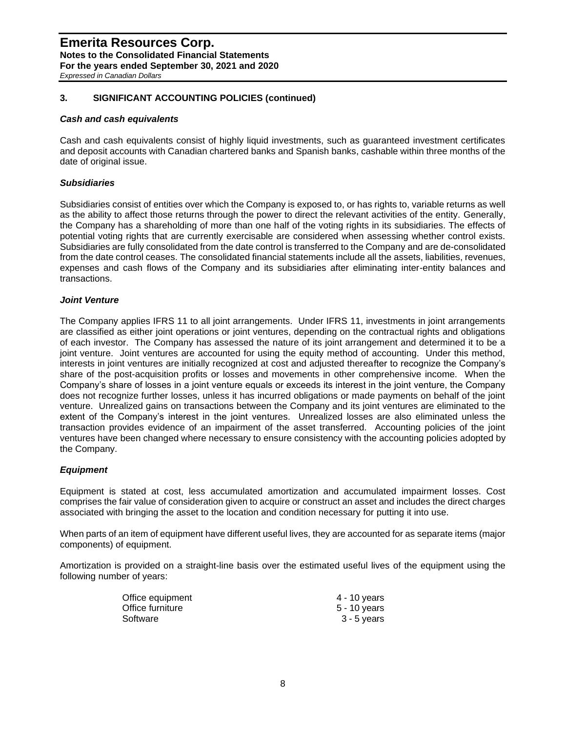## **3. SIGNIFICANT ACCOUNTING POLICIES (continued)**

#### *Cash and cash equivalents*

Cash and cash equivalents consist of highly liquid investments, such as guaranteed investment certificates and deposit accounts with Canadian chartered banks and Spanish banks, cashable within three months of the date of original issue.

#### *Subsidiaries*

Subsidiaries consist of entities over which the Company is exposed to, or has rights to, variable returns as well as the ability to affect those returns through the power to direct the relevant activities of the entity. Generally, the Company has a shareholding of more than one half of the voting rights in its subsidiaries. The effects of potential voting rights that are currently exercisable are considered when assessing whether control exists. Subsidiaries are fully consolidated from the date control is transferred to the Company and are de-consolidated from the date control ceases. The consolidated financial statements include all the assets, liabilities, revenues, expenses and cash flows of the Company and its subsidiaries after eliminating inter-entity balances and transactions.

#### *Joint Venture*

The Company applies IFRS 11 to all joint arrangements. Under IFRS 11, investments in joint arrangements are classified as either joint operations or joint ventures, depending on the contractual rights and obligations of each investor. The Company has assessed the nature of its joint arrangement and determined it to be a joint venture. Joint ventures are accounted for using the equity method of accounting. Under this method, interests in joint ventures are initially recognized at cost and adjusted thereafter to recognize the Company's share of the post-acquisition profits or losses and movements in other comprehensive income. When the Company's share of losses in a joint venture equals or exceeds its interest in the joint venture, the Company does not recognize further losses, unless it has incurred obligations or made payments on behalf of the joint venture. Unrealized gains on transactions between the Company and its joint ventures are eliminated to the extent of the Company's interest in the joint ventures. Unrealized losses are also eliminated unless the transaction provides evidence of an impairment of the asset transferred. Accounting policies of the joint ventures have been changed where necessary to ensure consistency with the accounting policies adopted by the Company.

## *Equipment*

Equipment is stated at cost, less accumulated amortization and accumulated impairment losses. Cost comprises the fair value of consideration given to acquire or construct an asset and includes the direct charges associated with bringing the asset to the location and condition necessary for putting it into use.

When parts of an item of equipment have different useful lives, they are accounted for as separate items (major components) of equipment.

Amortization is provided on a straight-line basis over the estimated useful lives of the equipment using the following number of years:

| Office equipment | 4 - 10 years |
|------------------|--------------|
| Office furniture | 5 - 10 years |
| Software         | 3 - 5 vears  |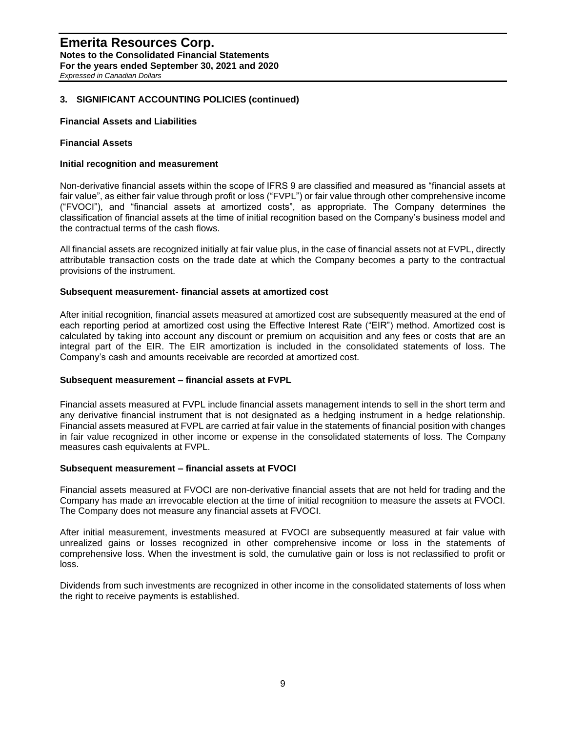## **3. SIGNIFICANT ACCOUNTING POLICIES (continued)**

#### **Financial Assets and Liabilities**

## **Financial Assets**

#### **Initial recognition and measurement**

Non-derivative financial assets within the scope of IFRS 9 are classified and measured as "financial assets at fair value", as either fair value through profit or loss ("FVPL") or fair value through other comprehensive income ("FVOCI"), and "financial assets at amortized costs", as appropriate. The Company determines the classification of financial assets at the time of initial recognition based on the Company's business model and the contractual terms of the cash flows.

All financial assets are recognized initially at fair value plus, in the case of financial assets not at FVPL, directly attributable transaction costs on the trade date at which the Company becomes a party to the contractual provisions of the instrument.

#### **Subsequent measurement- financial assets at amortized cost**

After initial recognition, financial assets measured at amortized cost are subsequently measured at the end of each reporting period at amortized cost using the Effective Interest Rate ("EIR") method. Amortized cost is calculated by taking into account any discount or premium on acquisition and any fees or costs that are an integral part of the EIR. The EIR amortization is included in the consolidated statements of loss. The Company's cash and amounts receivable are recorded at amortized cost.

#### **Subsequent measurement – financial assets at FVPL**

Financial assets measured at FVPL include financial assets management intends to sell in the short term and any derivative financial instrument that is not designated as a hedging instrument in a hedge relationship. Financial assets measured at FVPL are carried at fair value in the statements of financial position with changes in fair value recognized in other income or expense in the consolidated statements of loss. The Company measures cash equivalents at FVPL.

#### **Subsequent measurement – financial assets at FVOCI**

Financial assets measured at FVOCI are non-derivative financial assets that are not held for trading and the Company has made an irrevocable election at the time of initial recognition to measure the assets at FVOCI. The Company does not measure any financial assets at FVOCI.

After initial measurement, investments measured at FVOCI are subsequently measured at fair value with unrealized gains or losses recognized in other comprehensive income or loss in the statements of comprehensive loss. When the investment is sold, the cumulative gain or loss is not reclassified to profit or loss.

Dividends from such investments are recognized in other income in the consolidated statements of loss when the right to receive payments is established.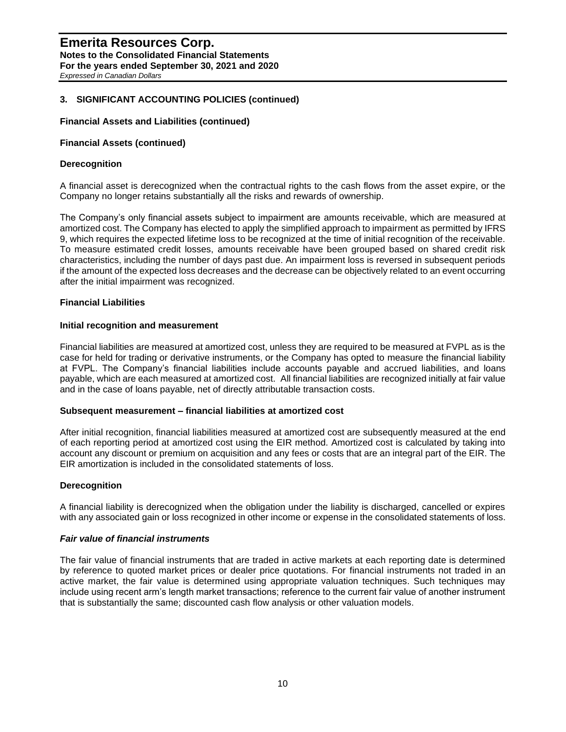## **3. SIGNIFICANT ACCOUNTING POLICIES (continued)**

#### **Financial Assets and Liabilities (continued)**

#### **Financial Assets (continued)**

#### **Derecognition**

A financial asset is derecognized when the contractual rights to the cash flows from the asset expire, or the Company no longer retains substantially all the risks and rewards of ownership.

The Company's only financial assets subject to impairment are amounts receivable, which are measured at amortized cost. The Company has elected to apply the simplified approach to impairment as permitted by IFRS 9, which requires the expected lifetime loss to be recognized at the time of initial recognition of the receivable. To measure estimated credit losses, amounts receivable have been grouped based on shared credit risk characteristics, including the number of days past due. An impairment loss is reversed in subsequent periods if the amount of the expected loss decreases and the decrease can be objectively related to an event occurring after the initial impairment was recognized.

#### **Financial Liabilities**

#### **Initial recognition and measurement**

Financial liabilities are measured at amortized cost, unless they are required to be measured at FVPL as is the case for held for trading or derivative instruments, or the Company has opted to measure the financial liability at FVPL. The Company's financial liabilities include accounts payable and accrued liabilities, and loans payable, which are each measured at amortized cost. All financial liabilities are recognized initially at fair value and in the case of loans payable, net of directly attributable transaction costs.

#### **Subsequent measurement – financial liabilities at amortized cost**

After initial recognition, financial liabilities measured at amortized cost are subsequently measured at the end of each reporting period at amortized cost using the EIR method. Amortized cost is calculated by taking into account any discount or premium on acquisition and any fees or costs that are an integral part of the EIR. The EIR amortization is included in the consolidated statements of loss.

## **Derecognition**

A financial liability is derecognized when the obligation under the liability is discharged, cancelled or expires with any associated gain or loss recognized in other income or expense in the consolidated statements of loss.

## *Fair value of financial instruments*

The fair value of financial instruments that are traded in active markets at each reporting date is determined by reference to quoted market prices or dealer price quotations. For financial instruments not traded in an active market, the fair value is determined using appropriate valuation techniques. Such techniques may include using recent arm's length market transactions; reference to the current fair value of another instrument that is substantially the same; discounted cash flow analysis or other valuation models.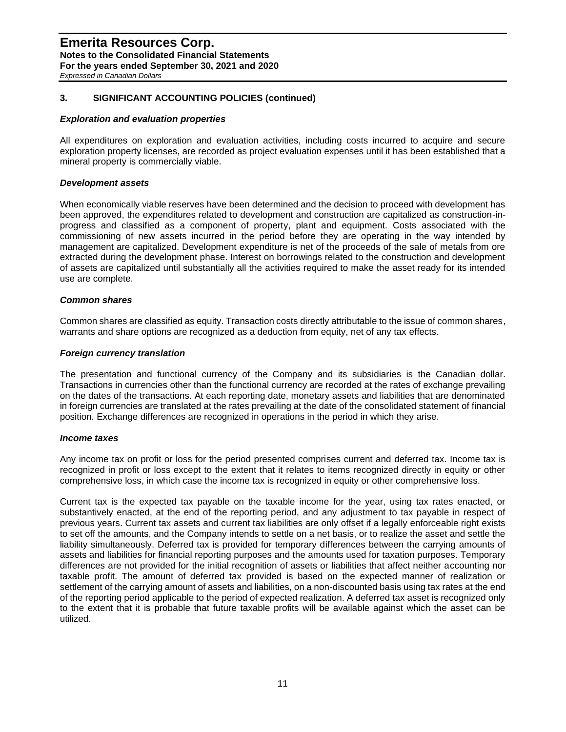## **3. SIGNIFICANT ACCOUNTING POLICIES (continued)**

#### *Exploration and evaluation properties*

All expenditures on exploration and evaluation activities, including costs incurred to acquire and secure exploration property licenses, are recorded as project evaluation expenses until it has been established that a mineral property is commercially viable.

#### *Development assets*

When economically viable reserves have been determined and the decision to proceed with development has been approved, the expenditures related to development and construction are capitalized as construction-inprogress and classified as a component of property, plant and equipment. Costs associated with the commissioning of new assets incurred in the period before they are operating in the way intended by management are capitalized. Development expenditure is net of the proceeds of the sale of metals from ore extracted during the development phase. Interest on borrowings related to the construction and development of assets are capitalized until substantially all the activities required to make the asset ready for its intended use are complete.

#### *Common shares*

Common shares are classified as equity. Transaction costs directly attributable to the issue of common shares, warrants and share options are recognized as a deduction from equity, net of any tax effects.

#### *Foreign currency translation*

The presentation and functional currency of the Company and its subsidiaries is the Canadian dollar. Transactions in currencies other than the functional currency are recorded at the rates of exchange prevailing on the dates of the transactions. At each reporting date, monetary assets and liabilities that are denominated in foreign currencies are translated at the rates prevailing at the date of the consolidated statement of financial position. Exchange differences are recognized in operations in the period in which they arise.

#### *Income taxes*

Any income tax on profit or loss for the period presented comprises current and deferred tax. Income tax is recognized in profit or loss except to the extent that it relates to items recognized directly in equity or other comprehensive loss, in which case the income tax is recognized in equity or other comprehensive loss.

Current tax is the expected tax payable on the taxable income for the year, using tax rates enacted, or substantively enacted, at the end of the reporting period, and any adjustment to tax payable in respect of previous years. Current tax assets and current tax liabilities are only offset if a legally enforceable right exists to set off the amounts, and the Company intends to settle on a net basis, or to realize the asset and settle the liability simultaneously. Deferred tax is provided for temporary differences between the carrying amounts of assets and liabilities for financial reporting purposes and the amounts used for taxation purposes. Temporary differences are not provided for the initial recognition of assets or liabilities that affect neither accounting nor taxable profit. The amount of deferred tax provided is based on the expected manner of realization or settlement of the carrying amount of assets and liabilities, on a non-discounted basis using tax rates at the end of the reporting period applicable to the period of expected realization. A deferred tax asset is recognized only to the extent that it is probable that future taxable profits will be available against which the asset can be utilized.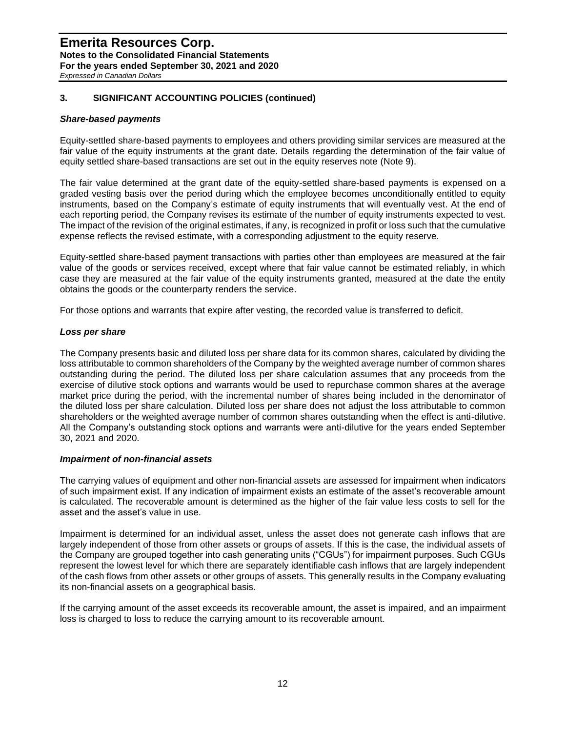## **3. SIGNIFICANT ACCOUNTING POLICIES (continued)**

## *Share-based payments*

Equity-settled share-based payments to employees and others providing similar services are measured at the fair value of the equity instruments at the grant date. Details regarding the determination of the fair value of equity settled share-based transactions are set out in the equity reserves note (Note 9).

The fair value determined at the grant date of the equity-settled share-based payments is expensed on a graded vesting basis over the period during which the employee becomes unconditionally entitled to equity instruments, based on the Company's estimate of equity instruments that will eventually vest. At the end of each reporting period, the Company revises its estimate of the number of equity instruments expected to vest. The impact of the revision of the original estimates, if any, is recognized in profit or loss such that the cumulative expense reflects the revised estimate, with a corresponding adjustment to the equity reserve.

Equity-settled share-based payment transactions with parties other than employees are measured at the fair value of the goods or services received, except where that fair value cannot be estimated reliably, in which case they are measured at the fair value of the equity instruments granted, measured at the date the entity obtains the goods or the counterparty renders the service.

For those options and warrants that expire after vesting, the recorded value is transferred to deficit.

## *Loss per share*

The Company presents basic and diluted loss per share data for its common shares, calculated by dividing the loss attributable to common shareholders of the Company by the weighted average number of common shares outstanding during the period. The diluted loss per share calculation assumes that any proceeds from the exercise of dilutive stock options and warrants would be used to repurchase common shares at the average market price during the period, with the incremental number of shares being included in the denominator of the diluted loss per share calculation. Diluted loss per share does not adjust the loss attributable to common shareholders or the weighted average number of common shares outstanding when the effect is anti-dilutive. All the Company's outstanding stock options and warrants were anti-dilutive for the years ended September 30, 2021 and 2020.

## *Impairment of non-financial assets*

The carrying values of equipment and other non-financial assets are assessed for impairment when indicators of such impairment exist. If any indication of impairment exists an estimate of the asset's recoverable amount is calculated. The recoverable amount is determined as the higher of the fair value less costs to sell for the asset and the asset's value in use.

Impairment is determined for an individual asset, unless the asset does not generate cash inflows that are largely independent of those from other assets or groups of assets. If this is the case, the individual assets of the Company are grouped together into cash generating units ("CGUs") for impairment purposes. Such CGUs represent the lowest level for which there are separately identifiable cash inflows that are largely independent of the cash flows from other assets or other groups of assets. This generally results in the Company evaluating its non-financial assets on a geographical basis.

If the carrying amount of the asset exceeds its recoverable amount, the asset is impaired, and an impairment loss is charged to loss to reduce the carrying amount to its recoverable amount.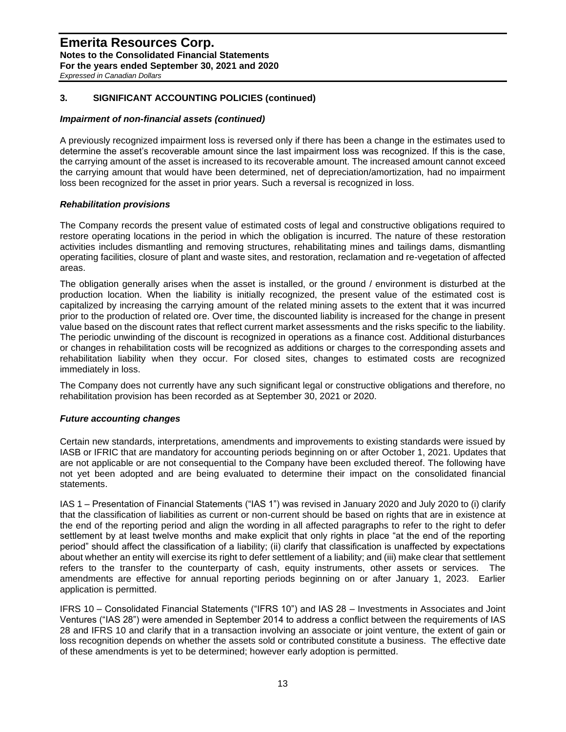## **3. SIGNIFICANT ACCOUNTING POLICIES (continued)**

## *Impairment of non-financial assets (continued)*

A previously recognized impairment loss is reversed only if there has been a change in the estimates used to determine the asset's recoverable amount since the last impairment loss was recognized. If this is the case, the carrying amount of the asset is increased to its recoverable amount. The increased amount cannot exceed the carrying amount that would have been determined, net of depreciation/amortization, had no impairment loss been recognized for the asset in prior years. Such a reversal is recognized in loss.

## *Rehabilitation provisions*

The Company records the present value of estimated costs of legal and constructive obligations required to restore operating locations in the period in which the obligation is incurred. The nature of these restoration activities includes dismantling and removing structures, rehabilitating mines and tailings dams, dismantling operating facilities, closure of plant and waste sites, and restoration, reclamation and re-vegetation of affected areas.

The obligation generally arises when the asset is installed, or the ground / environment is disturbed at the production location. When the liability is initially recognized, the present value of the estimated cost is capitalized by increasing the carrying amount of the related mining assets to the extent that it was incurred prior to the production of related ore. Over time, the discounted liability is increased for the change in present value based on the discount rates that reflect current market assessments and the risks specific to the liability. The periodic unwinding of the discount is recognized in operations as a finance cost. Additional disturbances or changes in rehabilitation costs will be recognized as additions or charges to the corresponding assets and rehabilitation liability when they occur. For closed sites, changes to estimated costs are recognized immediately in loss.

The Company does not currently have any such significant legal or constructive obligations and therefore, no rehabilitation provision has been recorded as at September 30, 2021 or 2020.

## *Future accounting changes*

Certain new standards, interpretations, amendments and improvements to existing standards were issued by IASB or IFRIC that are mandatory for accounting periods beginning on or after October 1, 2021. Updates that are not applicable or are not consequential to the Company have been excluded thereof. The following have not yet been adopted and are being evaluated to determine their impact on the consolidated financial statements.

IAS 1 – Presentation of Financial Statements ("IAS 1") was revised in January 2020 and July 2020 to (i) clarify that the classification of liabilities as current or non-current should be based on rights that are in existence at the end of the reporting period and align the wording in all affected paragraphs to refer to the right to defer settlement by at least twelve months and make explicit that only rights in place "at the end of the reporting period" should affect the classification of a liability; (ii) clarify that classification is unaffected by expectations about whether an entity will exercise its right to defer settlement of a liability; and (iii) make clear that settlement refers to the transfer to the counterparty of cash, equity instruments, other assets or services. The amendments are effective for annual reporting periods beginning on or after January 1, 2023. Earlier application is permitted.

IFRS 10 – Consolidated Financial Statements ("IFRS 10") and IAS 28 – Investments in Associates and Joint Ventures ("IAS 28") were amended in September 2014 to address a conflict between the requirements of IAS 28 and IFRS 10 and clarify that in a transaction involving an associate or joint venture, the extent of gain or loss recognition depends on whether the assets sold or contributed constitute a business. The effective date of these amendments is yet to be determined; however early adoption is permitted.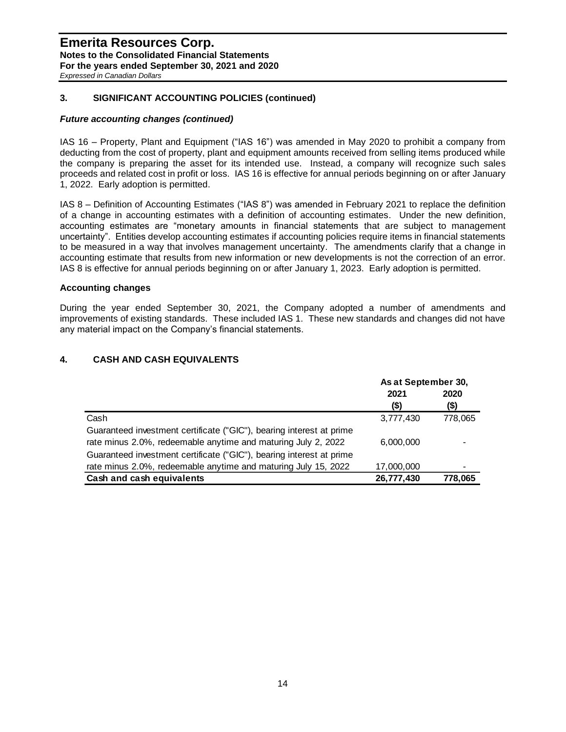## **3. SIGNIFICANT ACCOUNTING POLICIES (continued)**

## *Future accounting changes (continued)*

IAS 16 – Property, Plant and Equipment ("IAS 16") was amended in May 2020 to prohibit a company from deducting from the cost of property, plant and equipment amounts received from selling items produced while the company is preparing the asset for its intended use. Instead, a company will recognize such sales proceeds and related cost in profit or loss. IAS 16 is effective for annual periods beginning on or after January 1, 2022. Early adoption is permitted.

IAS 8 – Definition of Accounting Estimates ("IAS 8") was amended in February 2021 to replace the definition of a change in accounting estimates with a definition of accounting estimates. Under the new definition, accounting estimates are "monetary amounts in financial statements that are subject to management uncertainty". Entities develop accounting estimates if accounting policies require items in financial statements to be measured in a way that involves management uncertainty. The amendments clarify that a change in accounting estimate that results from new information or new developments is not the correction of an error. IAS 8 is effective for annual periods beginning on or after January 1, 2023. Early adoption is permitted.

## **Accounting changes**

During the year ended September 30, 2021, the Company adopted a number of amendments and improvements of existing standards. These included IAS 1. These new standards and changes did not have any material impact on the Company's financial statements.

## **2021 2020 (\$) (\$)** Cash 3,777,430 778,065 Guaranteed investment certificate ("GIC"), bearing interest at prime rate minus 2.0%, redeemable anytime and maturing July 2, 2022 6,000,000 Guaranteed investment certificate ("GIC"), bearing interest at prime rate minus 2.0%, redeemable anytime and maturing July 15, 2022 17,000,000 **Cash and cash equivalents 26,777,430 778,065 As at September 30,**

## **4. CASH AND CASH EQUIVALENTS**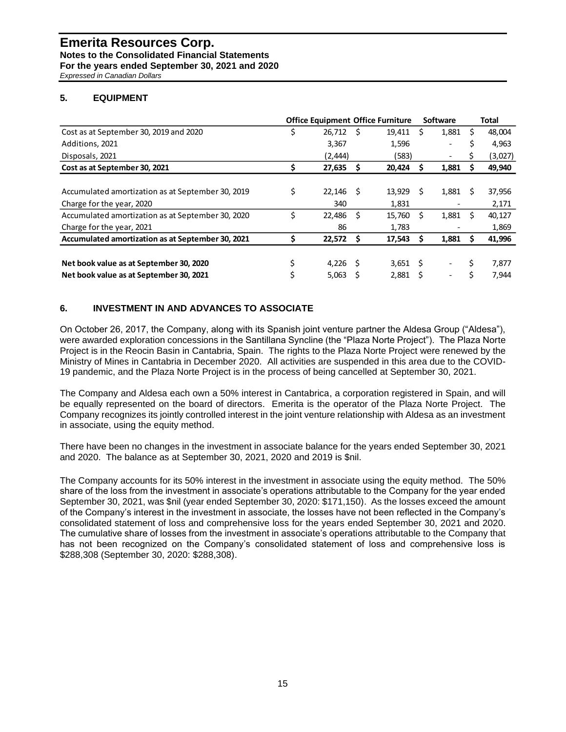## **5. EQUIPMENT**

|                                                   |              |      | <b>Office Equipment Office Furniture</b> |   | Software |   | <b>Total</b> |
|---------------------------------------------------|--------------|------|------------------------------------------|---|----------|---|--------------|
| Cost as at September 30, 2019 and 2020            | \$<br>26,712 | - \$ | 19,411                                   | S | 1,881    | Ś | 48,004       |
| Additions, 2021                                   | 3,367        |      | 1,596                                    |   |          |   | 4,963        |
| Disposals, 2021                                   | (2,444)      |      | (583)                                    |   |          |   | (3,027)      |
| Cost as at September 30, 2021                     | 27,635       |      | 20,424                                   |   | 1,881    |   | 49,940       |
|                                                   |              |      |                                          |   |          |   |              |
| Accumulated amortization as at September 30, 2019 | \$<br>22,146 | - \$ | 13,929                                   | S | 1,881    | Ś | 37,956       |
| Charge for the year, 2020                         | 340          |      | 1,831                                    |   |          |   | 2,171        |
| Accumulated amortization as at September 30, 2020 | 22,486       |      | 15,760                                   | S | 1,881    | S | 40,127       |
| Charge for the year, 2021                         | 86           |      | 1,783                                    |   |          |   | 1,869        |
| Accumulated amortization as at September 30, 2021 | \$<br>22,572 | - S  | 17,543                                   |   | 1,881    | S | 41,996       |
|                                                   |              |      |                                          |   |          |   |              |
| Net book value as at September 30, 2020           | \$<br>4.226  | - S  | $3,651$ \$                               |   |          |   | 7,877        |
| Net book value as at September 30, 2021           | 5,063        |      | 2,881                                    |   |          |   | 7,944        |

## **6. INVESTMENT IN AND ADVANCES TO ASSOCIATE**

On October 26, 2017, the Company, along with its Spanish joint venture partner the Aldesa Group ("Aldesa"), were awarded exploration concessions in the Santillana Syncline (the "Plaza Norte Project"). The Plaza Norte Project is in the Reocin Basin in Cantabria, Spain. The rights to the Plaza Norte Project were renewed by the Ministry of Mines in Cantabria in December 2020. All activities are suspended in this area due to the COVID-19 pandemic, and the Plaza Norte Project is in the process of being cancelled at September 30, 2021.

The Company and Aldesa each own a 50% interest in Cantabrica, a corporation registered in Spain, and will be equally represented on the board of directors. Emerita is the operator of the Plaza Norte Project. The Company recognizes its jointly controlled interest in the joint venture relationship with Aldesa as an investment in associate, using the equity method.

There have been no changes in the investment in associate balance for the years ended September 30, 2021 and 2020. The balance as at September 30, 2021, 2020 and 2019 is \$nil.

The Company accounts for its 50% interest in the investment in associate using the equity method. The 50% share of the loss from the investment in associate's operations attributable to the Company for the year ended September 30, 2021, was \$nil (year ended September 30, 2020: \$171,150). As the losses exceed the amount of the Company's interest in the investment in associate, the losses have not been reflected in the Company's consolidated statement of loss and comprehensive loss for the years ended September 30, 2021 and 2020. The cumulative share of losses from the investment in associate's operations attributable to the Company that has not been recognized on the Company's consolidated statement of loss and comprehensive loss is \$288,308 (September 30, 2020: \$288,308).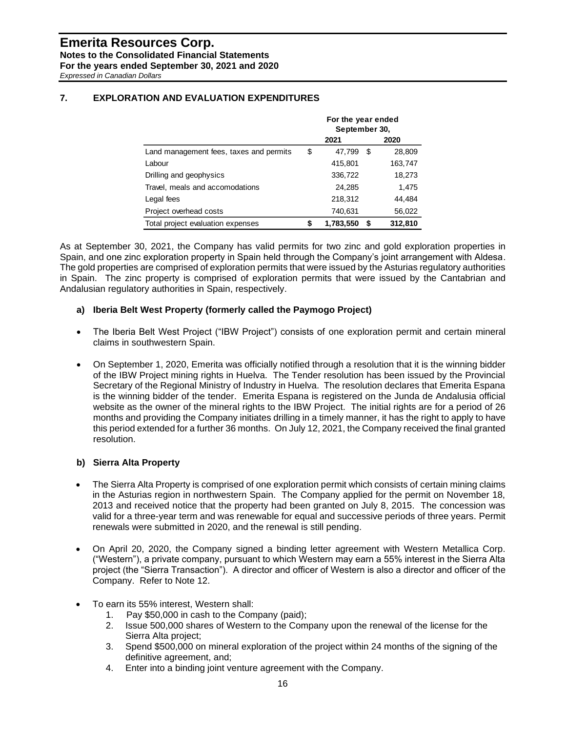## **7. EXPLORATION AND EVALUATION EXPENDITURES**

|                                         | For the year ended |               |    |         |
|-----------------------------------------|--------------------|---------------|----|---------|
|                                         |                    | September 30, |    |         |
|                                         |                    | 2021          |    | 2020    |
| Land management fees, taxes and permits | \$                 | 47,799        | \$ | 28,809  |
| Labour                                  |                    | 415,801       |    | 163,747 |
| Drilling and geophysics                 |                    | 336,722       |    | 18,273  |
| Travel, meals and accomodations         |                    | 24.285        |    | 1,475   |
| Legal fees                              |                    | 218,312       |    | 44,484  |
| Project overhead costs                  |                    | 740,631       |    | 56,022  |
| Total project evaluation expenses       | \$                 | 1,783,550     | S  | 312,810 |

As at September 30, 2021, the Company has valid permits for two zinc and gold exploration properties in Spain, and one zinc exploration property in Spain held through the Company's joint arrangement with Aldesa. The gold properties are comprised of exploration permits that were issued by the Asturias regulatory authorities in Spain. The zinc property is comprised of exploration permits that were issued by the Cantabrian and Andalusian regulatory authorities in Spain, respectively.

## **a) Iberia Belt West Property (formerly called the Paymogo Project)**

- The Iberia Belt West Project ("IBW Project") consists of one exploration permit and certain mineral claims in southwestern Spain.
- On September 1, 2020, Emerita was officially notified through a resolution that it is the winning bidder of the IBW Project mining rights in Huelva. The Tender resolution has been issued by the Provincial Secretary of the Regional Ministry of Industry in Huelva. The resolution declares that Emerita Espana is the winning bidder of the tender. Emerita Espana is registered on the Junda de Andalusia official website as the owner of the mineral rights to the IBW Project. The initial rights are for a period of 26 months and providing the Company initiates drilling in a timely manner, it has the right to apply to have this period extended for a further 36 months. On July 12, 2021, the Company received the final granted resolution.

## **b) Sierra Alta Property**

- The Sierra Alta Property is comprised of one exploration permit which consists of certain mining claims in the Asturias region in northwestern Spain. The Company applied for the permit on November 18, 2013 and received notice that the property had been granted on July 8, 2015. The concession was valid for a three-year term and was renewable for equal and successive periods of three years. Permit renewals were submitted in 2020, and the renewal is still pending.
- On April 20, 2020, the Company signed a binding letter agreement with Western Metallica Corp. ("Western"), a private company, pursuant to which Western may earn a 55% interest in the Sierra Alta project (the "Sierra Transaction"). A director and officer of Western is also a director and officer of the Company. Refer to Note 12.
- To earn its 55% interest, Western shall:
	- 1. Pay \$50,000 in cash to the Company (paid);
	- 2. Issue 500,000 shares of Western to the Company upon the renewal of the license for the Sierra Alta project;
	- 3. Spend \$500,000 on mineral exploration of the project within 24 months of the signing of the definitive agreement, and;
	- 4. Enter into a binding joint venture agreement with the Company.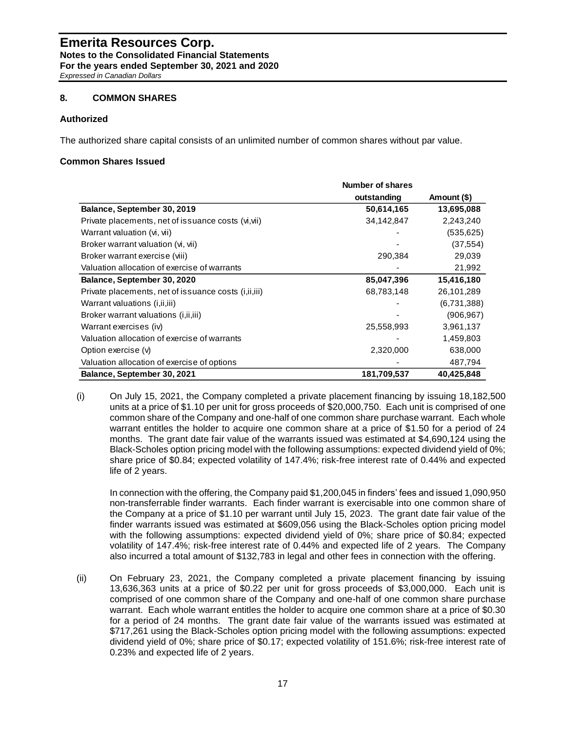## **8. COMMON SHARES**

## **Authorized**

The authorized share capital consists of an unlimited number of common shares without par value.

## **Common Shares Issued**

|                                                               | Number of shares |             |
|---------------------------------------------------------------|------------------|-------------|
|                                                               | outstanding      | Amount (\$) |
| Balance, September 30, 2019                                   | 50,614,165       | 13,695,088  |
| Private placements, net of issuance costs (vi, vii)           | 34,142,847       | 2,243,240   |
| Warrant valuation (vi, vii)                                   |                  | (535, 625)  |
| Broker warrant valuation (vi, vii)                            |                  | (37, 554)   |
| Broker warrant exercise (viii)                                | 290,384          | 29,039      |
| Valuation allocation of exercise of warrants                  |                  | 21,992      |
| Balance, September 30, 2020                                   | 85,047,396       | 15,416,180  |
| Private placements, net of issuance costs ( <i>i,ii,iii</i> ) | 68,783,148       | 26,101,289  |
| Warrant valuations ( <i>i,ii,iii</i> )                        |                  | (6,731,388) |
| Broker warrant valuations ( <i>i,ii,iii</i> )                 |                  | (906, 967)  |
| Warrant exercises (iv)                                        | 25,558,993       | 3,961,137   |
| Valuation allocation of exercise of warrants                  |                  | 1,459,803   |
| Option exercise (v)                                           | 2,320,000        | 638,000     |
| Valuation allocation of exercise of options                   |                  | 487,794     |
| Balance, September 30, 2021                                   | 181,709,537      | 40,425,848  |

(i) On July 15, 2021, the Company completed a private placement financing by issuing 18,182,500 units at a price of \$1.10 per unit for gross proceeds of \$20,000,750. Each unit is comprised of one common share of the Company and one-half of one common share purchase warrant. Each whole warrant entitles the holder to acquire one common share at a price of \$1.50 for a period of 24 months. The grant date fair value of the warrants issued was estimated at \$4,690,124 using the Black-Scholes option pricing model with the following assumptions: expected dividend yield of 0%; share price of \$0.84; expected volatility of 147.4%; risk-free interest rate of 0.44% and expected life of 2 years.

In connection with the offering, the Company paid \$1,200,045 in finders' fees and issued 1,090,950 non-transferrable finder warrants. Each finder warrant is exercisable into one common share of the Company at a price of \$1.10 per warrant until July 15, 2023. The grant date fair value of the finder warrants issued was estimated at \$609,056 using the Black-Scholes option pricing model with the following assumptions: expected dividend yield of 0%; share price of \$0.84; expected volatility of 147.4%; risk-free interest rate of 0.44% and expected life of 2 years. The Company also incurred a total amount of \$132,783 in legal and other fees in connection with the offering.

(ii) On February 23, 2021, the Company completed a private placement financing by issuing 13,636,363 units at a price of \$0.22 per unit for gross proceeds of \$3,000,000. Each unit is comprised of one common share of the Company and one-half of one common share purchase warrant. Each whole warrant entitles the holder to acquire one common share at a price of \$0.30 for a period of 24 months. The grant date fair value of the warrants issued was estimated at \$717,261 using the Black-Scholes option pricing model with the following assumptions: expected dividend yield of 0%; share price of \$0.17; expected volatility of 151.6%; risk-free interest rate of 0.23% and expected life of 2 years.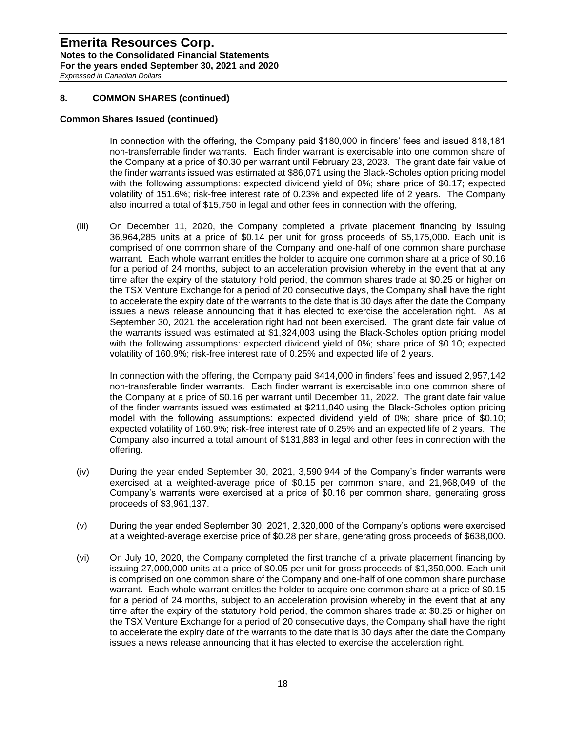## **8. COMMON SHARES (continued)**

#### **Common Shares Issued (continued)**

In connection with the offering, the Company paid \$180,000 in finders' fees and issued 818,181 non-transferrable finder warrants. Each finder warrant is exercisable into one common share of the Company at a price of \$0.30 per warrant until February 23, 2023. The grant date fair value of the finder warrants issued was estimated at \$86,071 using the Black-Scholes option pricing model with the following assumptions: expected dividend yield of 0%; share price of \$0.17; expected volatility of 151.6%; risk-free interest rate of 0.23% and expected life of 2 years. The Company also incurred a total of \$15,750 in legal and other fees in connection with the offering,

(iii) On December 11, 2020, the Company completed a private placement financing by issuing 36,964,285 units at a price of \$0.14 per unit for gross proceeds of \$5,175,000. Each unit is comprised of one common share of the Company and one-half of one common share purchase warrant. Each whole warrant entitles the holder to acquire one common share at a price of \$0.16 for a period of 24 months, subject to an acceleration provision whereby in the event that at any time after the expiry of the statutory hold period, the common shares trade at \$0.25 or higher on the TSX Venture Exchange for a period of 20 consecutive days, the Company shall have the right to accelerate the expiry date of the warrants to the date that is 30 days after the date the Company issues a news release announcing that it has elected to exercise the acceleration right. As at September 30, 2021 the acceleration right had not been exercised. The grant date fair value of the warrants issued was estimated at \$1,324,003 using the Black-Scholes option pricing model with the following assumptions: expected dividend yield of 0%; share price of \$0.10; expected volatility of 160.9%; risk-free interest rate of 0.25% and expected life of 2 years.

In connection with the offering, the Company paid \$414,000 in finders' fees and issued 2,957,142 non-transferable finder warrants. Each finder warrant is exercisable into one common share of the Company at a price of \$0.16 per warrant until December 11, 2022. The grant date fair value of the finder warrants issued was estimated at \$211,840 using the Black-Scholes option pricing model with the following assumptions: expected dividend yield of 0%; share price of \$0.10; expected volatility of 160.9%; risk-free interest rate of 0.25% and an expected life of 2 years. The Company also incurred a total amount of \$131,883 in legal and other fees in connection with the offering.

- (iv) During the year ended September 30, 2021, 3,590,944 of the Company's finder warrants were exercised at a weighted-average price of \$0.15 per common share, and 21,968,049 of the Company's warrants were exercised at a price of \$0.16 per common share, generating gross proceeds of \$3,961,137.
- (v) During the year ended September 30, 2021, 2,320,000 of the Company's options were exercised at a weighted-average exercise price of \$0.28 per share, generating gross proceeds of \$638,000.
- (vi) On July 10, 2020, the Company completed the first tranche of a private placement financing by issuing 27,000,000 units at a price of \$0.05 per unit for gross proceeds of \$1,350,000. Each unit is comprised on one common share of the Company and one-half of one common share purchase warrant. Each whole warrant entitles the holder to acquire one common share at a price of \$0.15 for a period of 24 months, subject to an acceleration provision whereby in the event that at any time after the expiry of the statutory hold period, the common shares trade at \$0.25 or higher on the TSX Venture Exchange for a period of 20 consecutive days, the Company shall have the right to accelerate the expiry date of the warrants to the date that is 30 days after the date the Company issues a news release announcing that it has elected to exercise the acceleration right.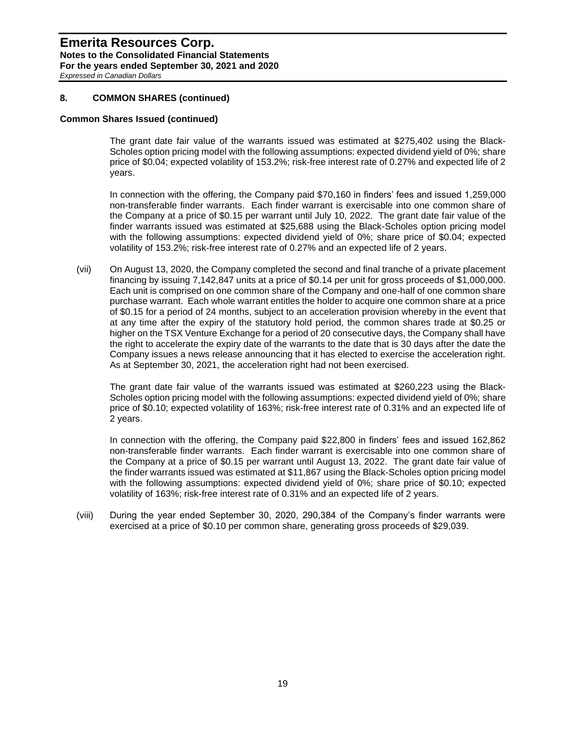## **8. COMMON SHARES (continued)**

#### **Common Shares Issued (continued)**

The grant date fair value of the warrants issued was estimated at \$275,402 using the Black-Scholes option pricing model with the following assumptions: expected dividend yield of 0%; share price of \$0.04; expected volatility of 153.2%; risk-free interest rate of 0.27% and expected life of 2 years.

In connection with the offering, the Company paid \$70,160 in finders' fees and issued 1,259,000 non-transferable finder warrants. Each finder warrant is exercisable into one common share of the Company at a price of \$0.15 per warrant until July 10, 2022. The grant date fair value of the finder warrants issued was estimated at \$25,688 using the Black-Scholes option pricing model with the following assumptions: expected dividend yield of 0%; share price of \$0.04; expected volatility of 153.2%; risk-free interest rate of 0.27% and an expected life of 2 years.

(vii) On August 13, 2020, the Company completed the second and final tranche of a private placement financing by issuing 7,142,847 units at a price of \$0.14 per unit for gross proceeds of \$1,000,000. Each unit is comprised on one common share of the Company and one-half of one common share purchase warrant. Each whole warrant entitles the holder to acquire one common share at a price of \$0.15 for a period of 24 months, subject to an acceleration provision whereby in the event that at any time after the expiry of the statutory hold period, the common shares trade at \$0.25 or higher on the TSX Venture Exchange for a period of 20 consecutive days, the Company shall have the right to accelerate the expiry date of the warrants to the date that is 30 days after the date the Company issues a news release announcing that it has elected to exercise the acceleration right. As at September 30, 2021, the acceleration right had not been exercised.

The grant date fair value of the warrants issued was estimated at \$260,223 using the Black-Scholes option pricing model with the following assumptions: expected dividend yield of 0%; share price of \$0.10; expected volatility of 163%; risk-free interest rate of 0.31% and an expected life of 2 years.

In connection with the offering, the Company paid \$22,800 in finders' fees and issued 162,862 non-transferable finder warrants. Each finder warrant is exercisable into one common share of the Company at a price of \$0.15 per warrant until August 13, 2022. The grant date fair value of the finder warrants issued was estimated at \$11,867 using the Black-Scholes option pricing model with the following assumptions: expected dividend yield of 0%; share price of \$0.10; expected volatility of 163%; risk-free interest rate of 0.31% and an expected life of 2 years.

(viii) During the year ended September 30, 2020, 290,384 of the Company's finder warrants were exercised at a price of \$0.10 per common share, generating gross proceeds of \$29,039.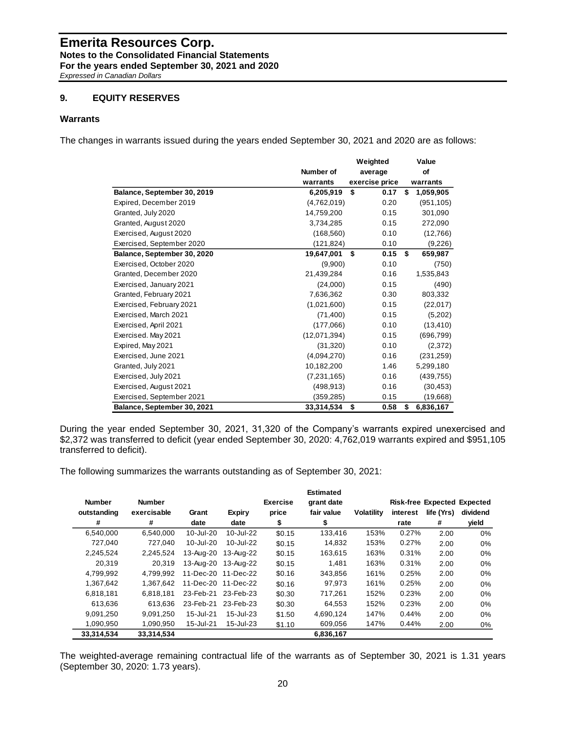## **9. EQUITY RESERVES**

#### **Warrants**

The changes in warrants issued during the years ended September 30, 2021 and 2020 are as follows:

|                             |              | Weighted       | Value           |  |
|-----------------------------|--------------|----------------|-----------------|--|
|                             | Number of    | average        | of              |  |
|                             | warrants     | exercise price | warrants        |  |
| Balance, September 30, 2019 | 6,205,919    | \$<br>0.17     | \$<br>1,059,905 |  |
| Expired, December 2019      | (4,762,019)  | 0.20           | (951, 105)      |  |
| Granted, July 2020          | 14,759,200   | 0.15           | 301,090         |  |
| Granted, August 2020        | 3,734,285    | 0.15           | 272,090         |  |
| Exercised, August 2020      | (168, 560)   | 0.10           | (12,766)        |  |
| Exercised, September 2020   | (121, 824)   | 0.10           | (9,226)         |  |
| Balance, September 30, 2020 | 19,647,001   | \$<br>0.15     | \$<br>659,987   |  |
| Exercised, October 2020     | (9,900)      | 0.10           | (750)           |  |
| Granted, December 2020      | 21,439,284   | 0.16           | 1,535,843       |  |
| Exercised, January 2021     | (24,000)     | 0.15           | (490)           |  |
| Granted, February 2021      | 7,636,362    | 0.30           | 803,332         |  |
| Exercised, February 2021    | (1,021,600)  | 0.15           | (22,017)        |  |
| Exercised, March 2021       | (71, 400)    | 0.15           | (5,202)         |  |
| Exercised, April 2021       | (177,066)    | 0.10           | (13, 410)       |  |
| Exercised. May 2021         | (12,071,394) | 0.15           | (696, 799)      |  |
| Expired, May 2021           | (31, 320)    | 0.10           | (2,372)         |  |
| Exercised, June 2021        | (4,094,270)  | 0.16           | (231, 259)      |  |
| Granted, July 2021          | 10,182,200   | 1.46           | 5,299,180       |  |
| Exercised, July 2021        | (7,231,165)  | 0.16           | (439, 755)      |  |
| Exercised, August 2021      | (498, 913)   | 0.16           | (30, 453)       |  |
| Exercised, September 2021   | (359, 285)   | 0.15           | (19,668)        |  |
| Balance, September 30, 2021 | 33,314,534   | \$<br>0.58     | \$<br>6,836,167 |  |

During the year ended September 30, 2021, 31,320 of the Company's warrants expired unexercised and \$2,372 was transferred to deficit (year ended September 30, 2020: 4,762,019 warrants expired and \$951,105 transferred to deficit).

The following summarizes the warrants outstanding as of September 30, 2021:

|               |               |           |               |                 | <b>Estimated</b> |                   |          |                                    |          |
|---------------|---------------|-----------|---------------|-----------------|------------------|-------------------|----------|------------------------------------|----------|
| <b>Number</b> | <b>Number</b> |           |               | <b>Exercise</b> | grant date       |                   |          | <b>Risk-free Expected Expected</b> |          |
| outstanding   | exercisable   | Grant     | <b>Expiry</b> | price           | fair value       | <b>Volatility</b> | interest | life (Yrs)                         | dividend |
| #             | #             | date      | date          | \$              | \$               |                   | rate     | #                                  | vield    |
| 6,540,000     | 6.540.000     | 10-Jul-20 | 10-Jul-22     | \$0.15          | 133,416          | 153%              | 0.27%    | 2.00                               | 0%       |
| 727.040       | 727.040       | 10-Jul-20 | 10-Jul-22     | \$0.15          | 14.832           | 153%              | 0.27%    | 2.00                               | 0%       |
| 2.245.524     | 2.245.524     | 13-Aug-20 | 13-Aug-22     | \$0.15          | 163.615          | 163%              | 0.31%    | 2.00                               | 0%       |
| 20,319        | 20.319        | 13-Aug-20 | 13-Aug-22     | \$0.15          | 1.481            | 163%              | 0.31%    | 2.00                               | 0%       |
| 4.799.992     | 4.799.992     | 11-Dec-20 | 11-Dec-22     | \$0.16          | 343.856          | 161%              | 0.25%    | 2.00                               | 0%       |
| 1,367,642     | 1.367.642     | 11-Dec-20 | 11-Dec-22     | \$0.16          | 97.973           | 161%              | 0.25%    | 2.00                               | 0%       |
| 6.818.181     | 6.818.181     | 23-Feb-21 | 23-Feb-23     | \$0.30          | 717.261          | 152%              | 0.23%    | 2.00                               | 0%       |
| 613,636       | 613.636       | 23-Feb-21 | 23-Feb-23     | \$0.30          | 64,553           | 152%              | 0.23%    | 2.00                               | 0%       |
| 9.091.250     | 9.091.250     | 15-Jul-21 | 15-Jul-23     | \$1.50          | 4,690,124        | 147%              | 0.44%    | 2.00                               | 0%       |
| 1,090,950     | 1.090.950     | 15-Jul-21 | 15-Jul-23     | \$1.10          | 609.056          | 147%              | 0.44%    | 2.00                               | 0%       |
| 33.314.534    | 33.314.534    |           |               |                 | 6.836.167        |                   |          |                                    |          |

The weighted-average remaining contractual life of the warrants as of September 30, 2021 is 1.31 years (September 30, 2020: 1.73 years).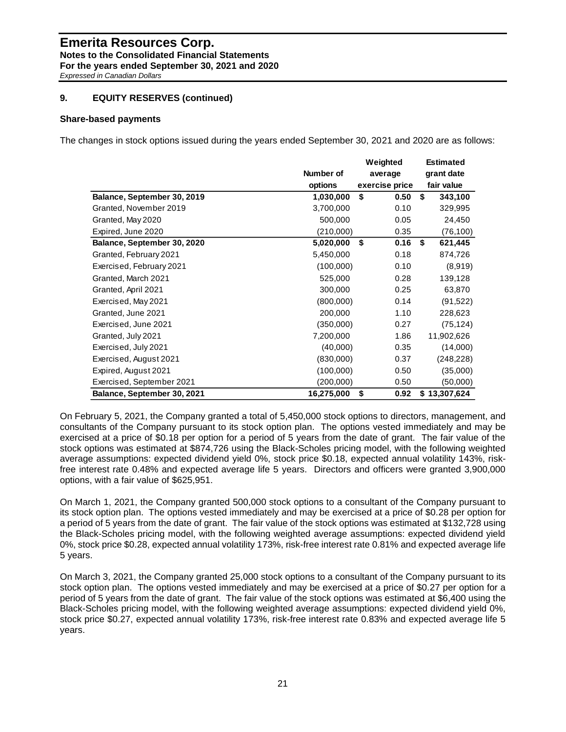## **9. EQUITY RESERVES (continued)**

## **Share-based payments**

The changes in stock options issued during the years ended September 30, 2021 and 2020 are as follows:

|                             |            | Weighted       |      | <b>Estimated</b> |
|-----------------------------|------------|----------------|------|------------------|
|                             | Number of  | average        |      | grant date       |
|                             | options    | exercise price |      | fair value       |
| Balance, September 30, 2019 | 1,030,000  | \$             | 0.50 | \$<br>343,100    |
| Granted, November 2019      | 3,700,000  |                | 0.10 | 329,995          |
| Granted, May 2020           | 500,000    |                | 0.05 | 24,450           |
| Expired, June 2020          | (210,000)  |                | 0.35 | (76, 100)        |
| Balance, September 30, 2020 | 5,020,000  | \$             | 0.16 | \$<br>621,445    |
| Granted, February 2021      | 5,450,000  |                | 0.18 | 874,726          |
| Exercised, February 2021    | (100,000)  |                | 0.10 | (8,919)          |
| Granted, March 2021         | 525,000    |                | 0.28 | 139,128          |
| Granted, April 2021         | 300,000    |                | 0.25 | 63,870           |
| Exercised, May 2021         | (800,000)  |                | 0.14 | (91, 522)        |
| Granted, June 2021          | 200,000    |                | 1.10 | 228,623          |
| Exercised, June 2021        | (350,000)  |                | 0.27 | (75, 124)        |
| Granted, July 2021          | 7,200,000  |                | 1.86 | 11,902,626       |
| Exercised, July 2021        | (40,000)   |                | 0.35 | (14,000)         |
| Exercised, August 2021      | (830,000)  |                | 0.37 | (248, 228)       |
| Expired, August 2021        | (100,000)  |                | 0.50 | (35,000)         |
| Exercised, September 2021   | (200,000)  |                | 0.50 | (50,000)         |
| Balance, September 30, 2021 | 16,275,000 | \$             | 0.92 | \$13,307,624     |

On February 5, 2021, the Company granted a total of 5,450,000 stock options to directors, management, and consultants of the Company pursuant to its stock option plan. The options vested immediately and may be exercised at a price of \$0.18 per option for a period of 5 years from the date of grant. The fair value of the stock options was estimated at \$874,726 using the Black-Scholes pricing model, with the following weighted average assumptions: expected dividend yield 0%, stock price \$0.18, expected annual volatility 143%, riskfree interest rate 0.48% and expected average life 5 years. Directors and officers were granted 3,900,000 options, with a fair value of \$625,951.

On March 1, 2021, the Company granted 500,000 stock options to a consultant of the Company pursuant to its stock option plan. The options vested immediately and may be exercised at a price of \$0.28 per option for a period of 5 years from the date of grant. The fair value of the stock options was estimated at \$132,728 using the Black-Scholes pricing model, with the following weighted average assumptions: expected dividend yield 0%, stock price \$0.28, expected annual volatility 173%, risk-free interest rate 0.81% and expected average life 5 years.

On March 3, 2021, the Company granted 25,000 stock options to a consultant of the Company pursuant to its stock option plan. The options vested immediately and may be exercised at a price of \$0.27 per option for a period of 5 years from the date of grant. The fair value of the stock options was estimated at \$6,400 using the Black-Scholes pricing model, with the following weighted average assumptions: expected dividend yield 0%, stock price \$0.27, expected annual volatility 173%, risk-free interest rate 0.83% and expected average life 5 years.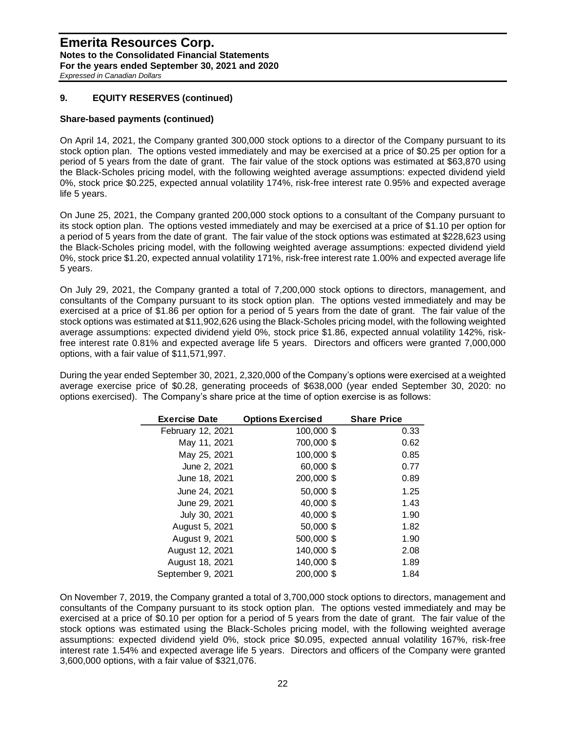## **9. EQUITY RESERVES (continued)**

## **Share-based payments (continued)**

On April 14, 2021, the Company granted 300,000 stock options to a director of the Company pursuant to its stock option plan. The options vested immediately and may be exercised at a price of \$0.25 per option for a period of 5 years from the date of grant. The fair value of the stock options was estimated at \$63,870 using the Black-Scholes pricing model, with the following weighted average assumptions: expected dividend yield 0%, stock price \$0.225, expected annual volatility 174%, risk-free interest rate 0.95% and expected average life 5 years.

On June 25, 2021, the Company granted 200,000 stock options to a consultant of the Company pursuant to its stock option plan. The options vested immediately and may be exercised at a price of \$1.10 per option for a period of 5 years from the date of grant. The fair value of the stock options was estimated at \$228,623 using the Black-Scholes pricing model, with the following weighted average assumptions: expected dividend yield 0%, stock price \$1.20, expected annual volatility 171%, risk-free interest rate 1.00% and expected average life 5 years.

On July 29, 2021, the Company granted a total of 7,200,000 stock options to directors, management, and consultants of the Company pursuant to its stock option plan. The options vested immediately and may be exercised at a price of \$1.86 per option for a period of 5 years from the date of grant. The fair value of the stock options was estimated at \$11,902,626 using the Black-Scholes pricing model, with the following weighted average assumptions: expected dividend yield 0%, stock price \$1.86, expected annual volatility 142%, riskfree interest rate 0.81% and expected average life 5 years. Directors and officers were granted 7,000,000 options, with a fair value of \$11,571,997.

During the year ended September 30, 2021, 2,320,000 of the Company's options were exercised at a weighted average exercise price of \$0.28, generating proceeds of \$638,000 (year ended September 30, 2020: no options exercised). The Company's share price at the time of option exercise is as follows:

| <b>Exercise Date</b> | <b>Options Exercised</b> | <b>Share Price</b> |
|----------------------|--------------------------|--------------------|
| February 12, 2021    | 100,000 \$               | 0.33               |
| May 11, 2021         | 700,000 \$               | 0.62               |
| May 25, 2021         | 100,000 \$               | 0.85               |
| June 2, 2021         | 60,000 \$                | 0.77               |
| June 18, 2021        | 200,000 \$               | 0.89               |
| June 24, 2021        | 50,000 \$                | 1.25               |
| June 29, 2021        | 40,000 \$                | 1.43               |
| July 30, 2021        | 40,000 \$                | 1.90               |
| August 5, 2021       | 50,000 \$                | 1.82               |
| August 9, 2021       | 500,000 \$               | 1.90               |
| August 12, 2021      | 140,000 \$               | 2.08               |
| August 18, 2021      | 140,000 \$               | 1.89               |
| September 9, 2021    | 200,000 \$               | 1.84               |

On November 7, 2019, the Company granted a total of 3,700,000 stock options to directors, management and consultants of the Company pursuant to its stock option plan. The options vested immediately and may be exercised at a price of \$0.10 per option for a period of 5 years from the date of grant. The fair value of the stock options was estimated using the Black-Scholes pricing model, with the following weighted average assumptions: expected dividend yield 0%, stock price \$0.095, expected annual volatility 167%, risk-free interest rate 1.54% and expected average life 5 years. Directors and officers of the Company were granted 3,600,000 options, with a fair value of \$321,076.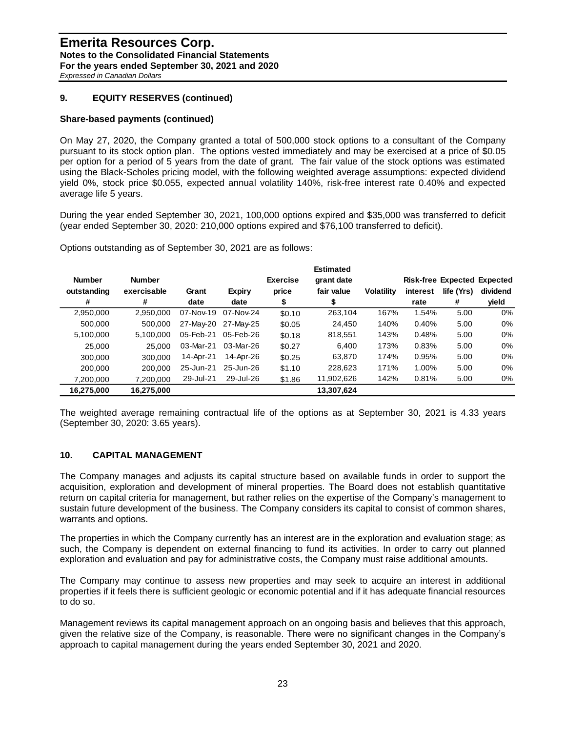## **9. EQUITY RESERVES (continued)**

## **Share-based payments (continued)**

On May 27, 2020, the Company granted a total of 500,000 stock options to a consultant of the Company pursuant to its stock option plan. The options vested immediately and may be exercised at a price of \$0.05 per option for a period of 5 years from the date of grant. The fair value of the stock options was estimated using the Black-Scholes pricing model, with the following weighted average assumptions: expected dividend yield 0%, stock price \$0.055, expected annual volatility 140%, risk-free interest rate 0.40% and expected average life 5 years.

During the year ended September 30, 2021, 100,000 options expired and \$35,000 was transferred to deficit (year ended September 30, 2020: 210,000 options expired and \$76,100 transferred to deficit).

|               |               |           |               |                 | <b>Estimated</b> |                   |          |            |                                    |
|---------------|---------------|-----------|---------------|-----------------|------------------|-------------------|----------|------------|------------------------------------|
| <b>Number</b> | <b>Number</b> |           |               | <b>Exercise</b> | grant date       |                   |          |            | <b>Risk-free Expected Expected</b> |
| outstanding   | exercisable   | Grant     | <b>Expiry</b> | price           | fair value       | <b>Volatility</b> | interest | life (Yrs) | dividend                           |
| #             | #             | date      | date          | \$              | \$               |                   | rate     | #          | yield                              |
| 2,950,000     | 2.950.000     | 07-Nov-19 | 07-Nov-24     | \$0.10          | 263.104          | 167%              | 1.54%    | 5.00       | 0%                                 |
| 500.000       | 500,000       | 27-May-20 | 27-May-25     | \$0.05          | 24.450           | 140%              | 0.40%    | 5.00       | $0\%$                              |
| 5.100.000     | 5.100.000     | 05-Feb-21 | 05-Feb-26     | \$0.18          | 818.551          | 143%              | 0.48%    | 5.00       | 0%                                 |
| 25.000        | 25,000        | 03-Mar-21 | 03-Mar-26     | \$0.27          | 6.400            | 173%              | 0.83%    | 5.00       | $0\%$                              |
| 300,000       | 300,000       | 14-Apr-21 | 14-Apr-26     | \$0.25          | 63.870           | 174%              | 0.95%    | 5.00       | $0\%$                              |
| 200.000       | 200,000       | 25-Jun-21 | 25-Jun-26     | \$1.10          | 228.623          | 171%              | 1.00%    | 5.00       | $0\%$                              |
| 7.200.000     | 7.200.000     | 29-Jul-21 | 29-Jul-26     | \$1.86          | 11.902.626       | 142%              | 0.81%    | 5.00       | 0%                                 |
| 16,275,000    | 16,275,000    |           |               |                 | 13,307,624       |                   |          |            |                                    |

Options outstanding as of September 30, 2021 are as follows:

The weighted average remaining contractual life of the options as at September 30, 2021 is 4.33 years (September 30, 2020: 3.65 years).

## **10. CAPITAL MANAGEMENT**

The Company manages and adjusts its capital structure based on available funds in order to support the acquisition, exploration and development of mineral properties. The Board does not establish quantitative return on capital criteria for management, but rather relies on the expertise of the Company's management to sustain future development of the business. The Company considers its capital to consist of common shares, warrants and options.

The properties in which the Company currently has an interest are in the exploration and evaluation stage; as such, the Company is dependent on external financing to fund its activities. In order to carry out planned exploration and evaluation and pay for administrative costs, the Company must raise additional amounts.

The Company may continue to assess new properties and may seek to acquire an interest in additional properties if it feels there is sufficient geologic or economic potential and if it has adequate financial resources to do so.

Management reviews its capital management approach on an ongoing basis and believes that this approach, given the relative size of the Company, is reasonable. There were no significant changes in the Company's approach to capital management during the years ended September 30, 2021 and 2020.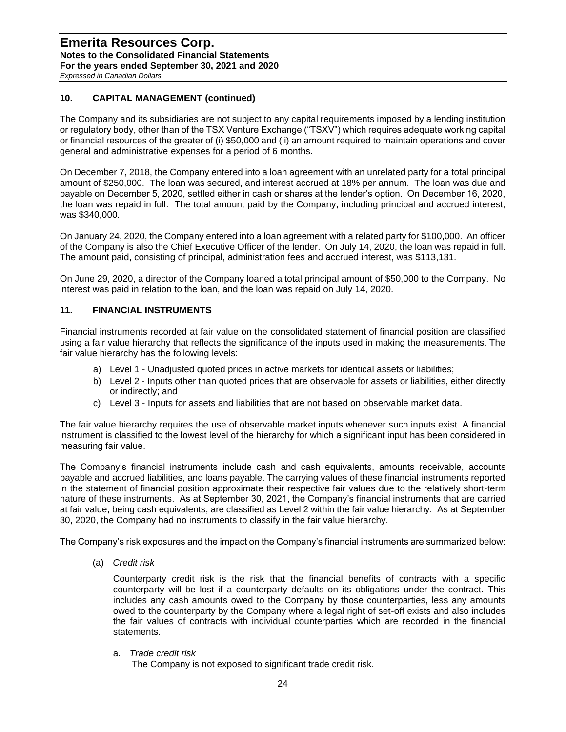## **10. CAPITAL MANAGEMENT (continued)**

The Company and its subsidiaries are not subject to any capital requirements imposed by a lending institution or regulatory body, other than of the TSX Venture Exchange ("TSXV") which requires adequate working capital or financial resources of the greater of (i) \$50,000 and (ii) an amount required to maintain operations and cover general and administrative expenses for a period of 6 months.

On December 7, 2018, the Company entered into a loan agreement with an unrelated party for a total principal amount of \$250,000. The loan was secured, and interest accrued at 18% per annum. The loan was due and payable on December 5, 2020, settled either in cash or shares at the lender's option. On December 16, 2020, the loan was repaid in full. The total amount paid by the Company, including principal and accrued interest, was \$340,000.

On January 24, 2020, the Company entered into a loan agreement with a related party for \$100,000. An officer of the Company is also the Chief Executive Officer of the lender. On July 14, 2020, the loan was repaid in full. The amount paid, consisting of principal, administration fees and accrued interest, was \$113,131.

On June 29, 2020, a director of the Company loaned a total principal amount of \$50,000 to the Company. No interest was paid in relation to the loan, and the loan was repaid on July 14, 2020.

## **11. FINANCIAL INSTRUMENTS**

Financial instruments recorded at fair value on the consolidated statement of financial position are classified using a fair value hierarchy that reflects the significance of the inputs used in making the measurements. The fair value hierarchy has the following levels:

- a) Level 1 Unadjusted quoted prices in active markets for identical assets or liabilities;
- b) Level 2 Inputs other than quoted prices that are observable for assets or liabilities, either directly or indirectly; and
- c) Level 3 Inputs for assets and liabilities that are not based on observable market data.

The fair value hierarchy requires the use of observable market inputs whenever such inputs exist. A financial instrument is classified to the lowest level of the hierarchy for which a significant input has been considered in measuring fair value.

The Company's financial instruments include cash and cash equivalents, amounts receivable, accounts payable and accrued liabilities, and loans payable. The carrying values of these financial instruments reported in the statement of financial position approximate their respective fair values due to the relatively short-term nature of these instruments. As at September 30, 2021, the Company's financial instruments that are carried at fair value, being cash equivalents, are classified as Level 2 within the fair value hierarchy. As at September 30, 2020, the Company had no instruments to classify in the fair value hierarchy.

The Company's risk exposures and the impact on the Company's financial instruments are summarized below:

(a) *Credit risk* 

Counterparty credit risk is the risk that the financial benefits of contracts with a specific counterparty will be lost if a counterparty defaults on its obligations under the contract. This includes any cash amounts owed to the Company by those counterparties, less any amounts owed to the counterparty by the Company where a legal right of set-off exists and also includes the fair values of contracts with individual counterparties which are recorded in the financial statements.

a. *Trade credit risk*

The Company is not exposed to significant trade credit risk.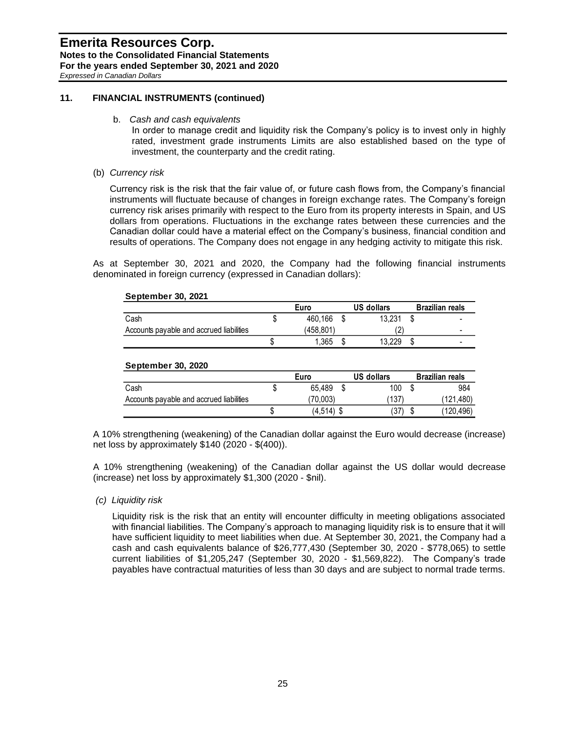#### **11. FINANCIAL INSTRUMENTS (continued)**

**September 30, 2021**

b. *Cash and cash equivalents*

In order to manage credit and liquidity risk the Company's policy is to invest only in highly rated, investment grade instruments Limits are also established based on the type of investment, the counterparty and the credit rating.

(b) *Currency risk* 

Currency risk is the risk that the fair value of, or future cash flows from, the Company's financial instruments will fluctuate because of changes in foreign exchange rates. The Company's foreign currency risk arises primarily with respect to the Euro from its property interests in Spain, and US dollars from operations. Fluctuations in the exchange rates between these currencies and the Canadian dollar could have a material effect on the Company's business, financial condition and results of operations. The Company does not engage in any hedging activity to mitigate this risk.

As at September 30, 2021 and 2020, the Company had the following financial instruments denominated in foreign currency (expressed in Canadian dollars):

| <b>OCULCITIVEL OU, ZUZT</b>              |            |            |                        |
|------------------------------------------|------------|------------|------------------------|
|                                          | Euro       | US dollars | <b>Brazilian reals</b> |
| Cash                                     | 460.166 \$ | 13.231     |                        |
| Accounts payable and accrued liabilities | (458.801)  |            |                        |
|                                          | 1.365      | 13.229     |                        |

| <b>September 30, 2020</b>                |   |              |                   |   |                        |
|------------------------------------------|---|--------------|-------------------|---|------------------------|
|                                          |   | Euro         | <b>US dollars</b> |   | <b>Brazilian reals</b> |
| Cash                                     |   | 65.489       | 100               |   | 984                    |
| Accounts payable and accrued liabilities |   | (70.003)     | (137              |   | (121.480)              |
|                                          | J | $(4.514)$ \$ | '37               | S | (120,496)              |

A 10% strengthening (weakening) of the Canadian dollar against the Euro would decrease (increase) net loss by approximately \$140 (2020 - \$(400)).

A 10% strengthening (weakening) of the Canadian dollar against the US dollar would decrease (increase) net loss by approximately \$1,300 (2020 - \$nil).

*(c) Liquidity risk* 

Liquidity risk is the risk that an entity will encounter difficulty in meeting obligations associated with financial liabilities. The Company's approach to managing liquidity risk is to ensure that it will have sufficient liquidity to meet liabilities when due. At September 30, 2021, the Company had a cash and cash equivalents balance of \$26,777,430 (September 30, 2020 - \$778,065) to settle current liabilities of \$1,205,247 (September 30, 2020 - \$1,569,822). The Company's trade payables have contractual maturities of less than 30 days and are subject to normal trade terms.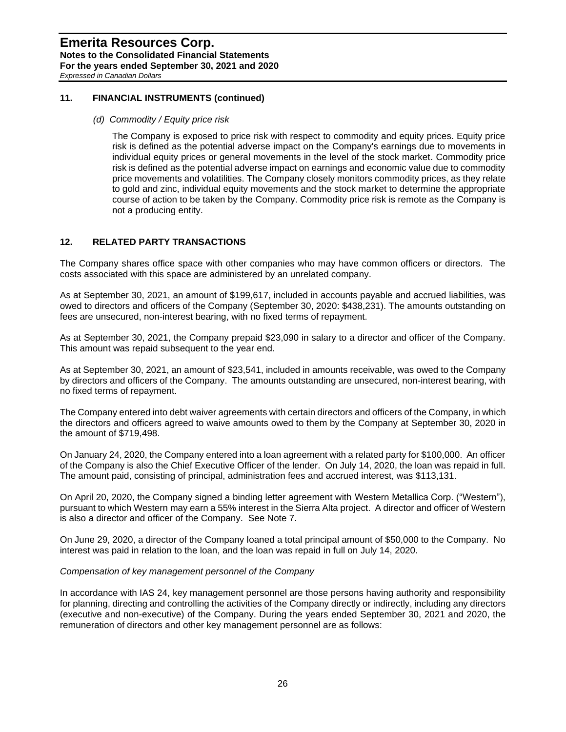## **11. FINANCIAL INSTRUMENTS (continued)**

#### *(d) Commodity / Equity price risk*

The Company is exposed to price risk with respect to commodity and equity prices. Equity price risk is defined as the potential adverse impact on the Company's earnings due to movements in individual equity prices or general movements in the level of the stock market. Commodity price risk is defined as the potential adverse impact on earnings and economic value due to commodity price movements and volatilities. The Company closely monitors commodity prices, as they relate to gold and zinc, individual equity movements and the stock market to determine the appropriate course of action to be taken by the Company. Commodity price risk is remote as the Company is not a producing entity.

## **12. RELATED PARTY TRANSACTIONS**

The Company shares office space with other companies who may have common officers or directors. The costs associated with this space are administered by an unrelated company.

As at September 30, 2021, an amount of \$199,617, included in accounts payable and accrued liabilities, was owed to directors and officers of the Company (September 30, 2020: \$438,231). The amounts outstanding on fees are unsecured, non-interest bearing, with no fixed terms of repayment.

As at September 30, 2021, the Company prepaid \$23,090 in salary to a director and officer of the Company. This amount was repaid subsequent to the year end.

As at September 30, 2021, an amount of \$23,541, included in amounts receivable, was owed to the Company by directors and officers of the Company. The amounts outstanding are unsecured, non-interest bearing, with no fixed terms of repayment.

The Company entered into debt waiver agreements with certain directors and officers of the Company, in which the directors and officers agreed to waive amounts owed to them by the Company at September 30, 2020 in the amount of \$719,498.

On January 24, 2020, the Company entered into a loan agreement with a related party for \$100,000. An officer of the Company is also the Chief Executive Officer of the lender. On July 14, 2020, the loan was repaid in full. The amount paid, consisting of principal, administration fees and accrued interest, was \$113,131.

On April 20, 2020, the Company signed a binding letter agreement with Western Metallica Corp. ("Western"), pursuant to which Western may earn a 55% interest in the Sierra Alta project. A director and officer of Western is also a director and officer of the Company. See Note 7.

On June 29, 2020, a director of the Company loaned a total principal amount of \$50,000 to the Company. No interest was paid in relation to the loan, and the loan was repaid in full on July 14, 2020.

## *Compensation of key management personnel of the Company*

In accordance with IAS 24, key management personnel are those persons having authority and responsibility for planning, directing and controlling the activities of the Company directly or indirectly, including any directors (executive and non-executive) of the Company. During the years ended September 30, 2021 and 2020, the remuneration of directors and other key management personnel are as follows: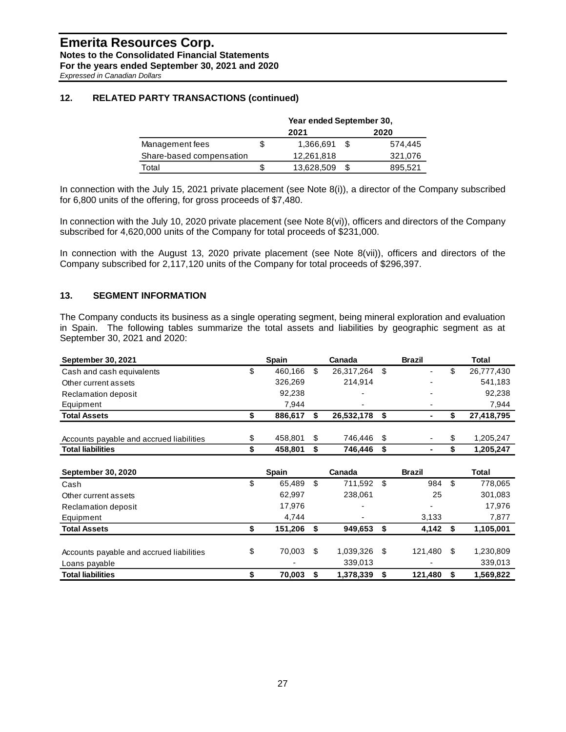## **12. RELATED PARTY TRANSACTIONS (continued)**

|                          | Year ended September 30, |            |  |         |  |  |  |
|--------------------------|--------------------------|------------|--|---------|--|--|--|
|                          |                          | 2021       |  | 2020    |  |  |  |
| Management fees          | S                        | 1,366,691  |  | 574.445 |  |  |  |
| Share-based compensation |                          | 12,261,818 |  | 321,076 |  |  |  |
| Total                    | S                        | 13,628,509 |  | 895,521 |  |  |  |

In connection with the July 15, 2021 private placement (see Note 8(i)), a director of the Company subscribed for 6,800 units of the offering, for gross proceeds of \$7,480.

In connection with the July 10, 2020 private placement (see Note 8(vi)), officers and directors of the Company subscribed for 4,620,000 units of the Company for total proceeds of \$231,000.

In connection with the August 13, 2020 private placement (see Note 8(vii)), officers and directors of the Company subscribed for 2,117,120 units of the Company for total proceeds of \$296,397.

## **13. SEGMENT INFORMATION**

The Company conducts its business as a single operating segment, being mineral exploration and evaluation in Spain. The following tables summarize the total assets and liabilities by geographic segment as at September 30, 2021 and 2020:

| September 30, 2021                                        | <b>Spain</b>  |    | Canada     |    | <b>Brazil</b> | Total            |
|-----------------------------------------------------------|---------------|----|------------|----|---------------|------------------|
| Cash and cash equivalents                                 | \$<br>460,166 | \$ | 26,317,264 | \$ |               | \$<br>26,777,430 |
| Other current assets                                      | 326,269       |    | 214,914    |    |               | 541,183          |
| Reclamation deposit                                       | 92,238        |    |            |    |               | 92,238           |
| Equipment                                                 | 7,944         |    |            |    |               | 7,944            |
| <b>Total Assets</b>                                       | \$<br>886,617 | S  | 26,532,178 | \$ |               | \$<br>27,418,795 |
| Accounts payable and accrued liabilities                  | \$<br>458,801 | \$ | 746,446    | S  |               | \$<br>1,205,247  |
| <b>Total liabilities</b>                                  | \$<br>458,801 | \$ | 746,446    | \$ |               | \$<br>1,205,247  |
| <b>September 30, 2020</b>                                 | <b>Spain</b>  |    | Canada     |    | <b>Brazil</b> | Total            |
| Cash                                                      | \$<br>65,489  | \$ | 711,592    | \$ | 984           | \$<br>778,065    |
| Other current assets                                      | 62,997        |    | 238,061    |    | 25            | 301,083          |
| <b>Reclamation deposit</b>                                | 17,976        |    |            |    |               | 17,976           |
| Equipment                                                 | 4,744         |    |            |    | 3,133         | 7,877            |
| <b>Total Assets</b>                                       | \$<br>151,206 | \$ | 949,653    | \$ | 4,142         | \$<br>1,105,001  |
|                                                           | \$<br>70,003  | \$ | 1,039,326  | \$ | 121,480       | \$<br>1,230,809  |
| Accounts payable and accrued liabilities<br>Loans payable |               |    | 339,013    |    |               | 339,013          |
| <b>Total liabilities</b>                                  | \$<br>70,003  | \$ | 1,378,339  | \$ | 121,480       | \$<br>1,569,822  |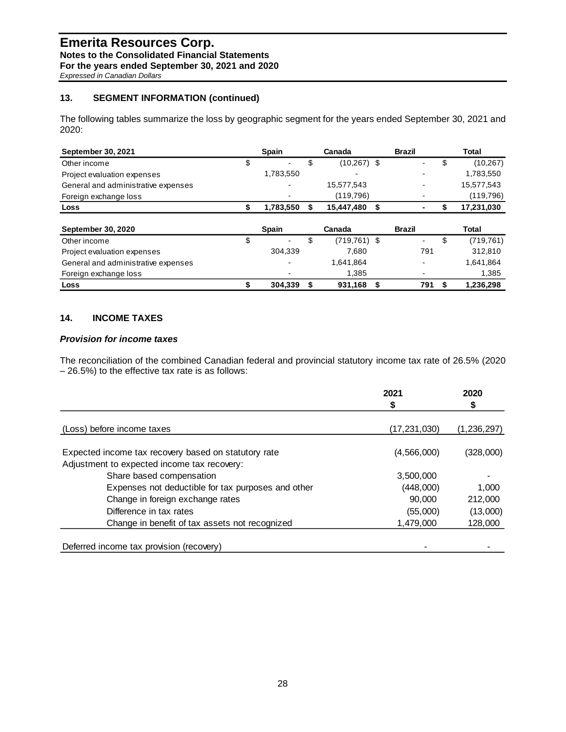## **13. SEGMENT INFORMATION (continued)**

The following tables summarize the loss by geographic segment for the years ended September 30, 2021 and 2020:

| September 30, 2021                  |    | <b>Spain</b>             |    | Canada         |    | <b>Brazil</b> |    | Total      |
|-------------------------------------|----|--------------------------|----|----------------|----|---------------|----|------------|
| Other income                        | \$ | -                        | \$ | $(10, 267)$ \$ |    | -             | \$ | (10, 267)  |
| Project evaluation expenses         |    | 1,783,550                |    |                |    |               |    | 1,783,550  |
| General and administrative expenses |    | $\blacksquare$           |    | 15,577,543     |    |               |    | 15,577,543 |
| Foreign exchange loss               |    |                          |    | (119,796)      |    |               |    | (119,796)  |
| <b>Loss</b>                         | S  | 1,783,550                |    | 15,447,480     | \$ |               | S  | 17,231,030 |
|                                     |    |                          |    |                |    |               |    |            |
| September 30, 2020                  |    | <b>Spain</b>             |    | Canada         |    | <b>Brazil</b> |    | Total      |
| Other income                        | \$ | $\overline{\phantom{0}}$ | \$ | (719,761) \$   |    |               | \$ | (719, 761) |
| Project evaluation expenses         |    | 304.339                  |    | 7.680          |    | 791           |    | 312,810    |
| General and administrative expenses |    | $\blacksquare$           |    | 1,641,864      |    |               |    | 1,641,864  |
| Foreign exchange loss               |    | -                        |    | 1,385          |    |               |    | 1,385      |
| Loss                                | S  | 304,339                  | S  | 931,168        | S  | 791           | S  | 1.236.298  |

## **14. INCOME TAXES**

## *Provision for income taxes*

The reconciliation of the combined Canadian federal and provincial statutory income tax rate of 26.5% (2020 – 26.5%) to the effective tax rate is as follows:

|                                                      | 2021           | 2020        |
|------------------------------------------------------|----------------|-------------|
|                                                      | \$             |             |
| (Loss) before income taxes                           | (17, 231, 030) | (1,236,297) |
|                                                      |                |             |
| Expected income tax recovery based on statutory rate | (4,566,000)    | (328,000)   |
| Adjustment to expected income tax recovery:          |                |             |
| Share based compensation                             | 3,500,000      |             |
| Expenses not deductible for tax purposes and other   | (448,000)      | 1,000       |
| Change in foreign exchange rates                     | 90,000         | 212,000     |
| Difference in tax rates                              | (55,000)       | (13,000)    |
| Change in benefit of tax assets not recognized       | 1,479,000      | 128,000     |
|                                                      |                |             |
| Deferred income tax provision (recovery)             |                |             |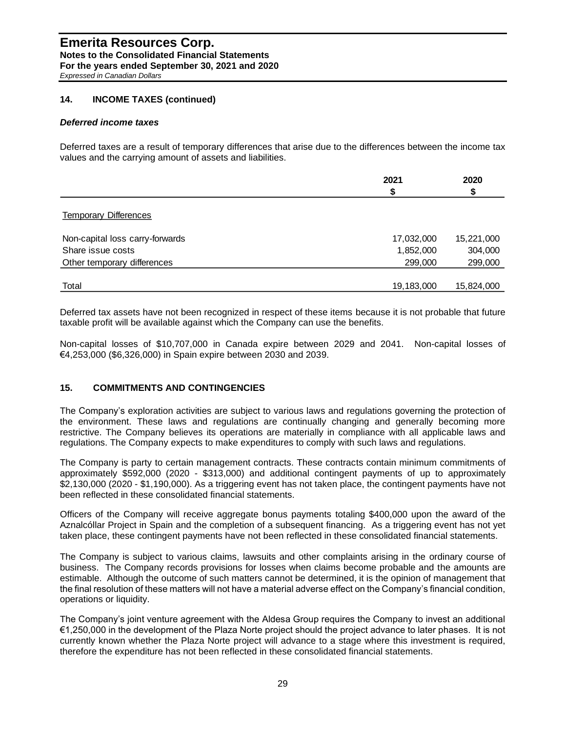## **14. INCOME TAXES (continued)**

#### *Deferred income taxes*

Deferred taxes are a result of temporary differences that arise due to the differences between the income tax values and the carrying amount of assets and liabilities.

|                                 | 2021       | 2020       |
|---------------------------------|------------|------------|
|                                 | S          |            |
| <b>Temporary Differences</b>    |            |            |
| Non-capital loss carry-forwards | 17,032,000 | 15,221,000 |
| Share issue costs               | 1,852,000  | 304,000    |
| Other temporary differences     | 299,000    | 299,000    |
|                                 |            |            |
| Total                           | 19,183,000 | 15,824,000 |

Deferred tax assets have not been recognized in respect of these items because it is not probable that future taxable profit will be available against which the Company can use the benefits.

Non-capital losses of \$10,707,000 in Canada expire between 2029 and 2041. Non-capital losses of €4,253,000 (\$6,326,000) in Spain expire between 2030 and 2039.

## **15. COMMITMENTS AND CONTINGENCIES**

The Company's exploration activities are subject to various laws and regulations governing the protection of the environment. These laws and regulations are continually changing and generally becoming more restrictive. The Company believes its operations are materially in compliance with all applicable laws and regulations. The Company expects to make expenditures to comply with such laws and regulations.

The Company is party to certain management contracts. These contracts contain minimum commitments of approximately \$592,000 (2020 - \$313,000) and additional contingent payments of up to approximately \$2,130,000 (2020 - \$1,190,000). As a triggering event has not taken place, the contingent payments have not been reflected in these consolidated financial statements.

Officers of the Company will receive aggregate bonus payments totaling \$400,000 upon the award of the Aznalcóllar Project in Spain and the completion of a subsequent financing. As a triggering event has not yet taken place, these contingent payments have not been reflected in these consolidated financial statements.

The Company is subject to various claims, lawsuits and other complaints arising in the ordinary course of business. The Company records provisions for losses when claims become probable and the amounts are estimable. Although the outcome of such matters cannot be determined, it is the opinion of management that the final resolution of these matters will not have a material adverse effect on the Company's financial condition, operations or liquidity.

The Company's joint venture agreement with the Aldesa Group requires the Company to invest an additional €1,250,000 in the development of the Plaza Norte project should the project advance to later phases. It is not currently known whether the Plaza Norte project will advance to a stage where this investment is required, therefore the expenditure has not been reflected in these consolidated financial statements.